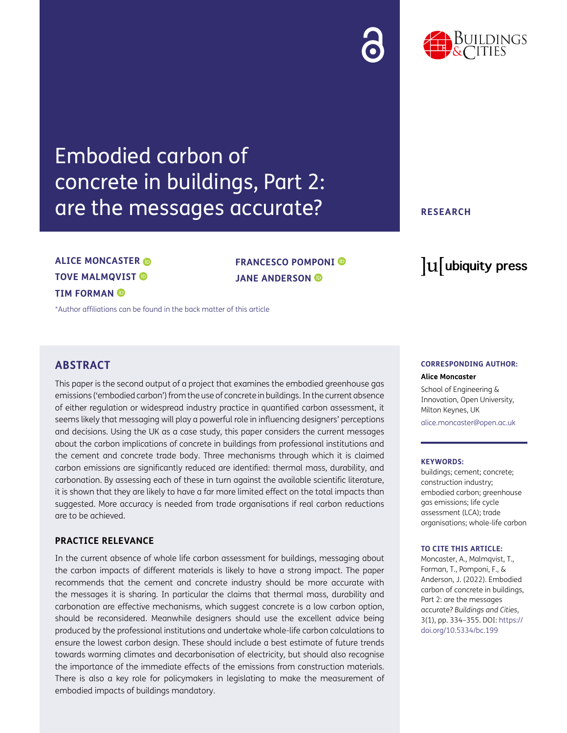## Embodied carbon of concrete in buildings, Part 2: are the messages accurate?

### **ALICE MONCASTER TOVE MALMQVIST TIM FORMAN**

[\\*Author affiliations can be found in the back matter of this article](#page-16-0)

#### **ABSTRACT**

This paper is the second output of a project that examines the embodied greenhouse gas emissions ('embodied carbon') from the use of concrete in buildings. In the current absence of either regulation or widespread industry practice in quantified carbon assessment, it seems likely that messaging will play a powerful role in influencing designers' perceptions and decisions. Using the UK as a case study, this paper considers the current messages about the carbon implications of concrete in buildings from professional institutions and the cement and concrete trade body. Three mechanisms through which it is claimed carbon emissions are significantly reduced are identified: thermal mass, durability, and carbonation. By assessing each of these in turn against the available scientific literature, it is shown that they are likely to have a far more limited effect on the total impacts than suggested. More accuracy is needed from trade organisations if real carbon reductions are to be achieved.

**FRANCESCO POMPONI** 

**JANE ANDERSON**

#### **PRACTICE RELEVANCE**

In the current absence of whole life carbon assessment for buildings, messaging about the carbon impacts of different materials is likely to have a strong impact. The paper recommends that the cement and concrete industry should be more accurate with the messages it is sharing. In particular the claims that thermal mass, durability and carbonation are effective mechanisms, which suggest concrete is a low carbon option, should be reconsidered. Meanwhile designers should use the excellent advice being produced by the professional institutions and undertake whole-life carbon calculations to ensure the lowest carbon design. These should include a best estimate of future trends towards warming climates and decarbonisation of electricity, but should also recognise the importance of the immediate effects of the emissions from construction materials. There is also a key role for policymakers in legislating to make the measurement of embodied impacts of buildings mandatory.

#### **CORRESPONDING AUTHOR:**

lu ubiquity press

**Alice Moncaster**

School of Engineering & Innovation, Open University, Milton Keynes, UK [alice.moncaster@open.ac.uk](mailto:alice.moncaster@open.ac.uk)

#### **KEYWORDS:**

buildings; cement; concrete; construction industry; embodied carbon; greenhouse gas emissions; life cycle assessment (LCA); trade organisations; whole-life carbon

#### **TO CITE THIS ARTICLE:**

Moncaster, A., Malmqvist, T., Forman, T., Pomponi, F., & Anderson, J. (2022). Embodied carbon of concrete in buildings, Part 2: are the messages accurate? *Buildings and Cities*, 3(1), pp. 334–355. DOI: [https://](https://doi.org/10.5334/bc.199) [doi.org/10.5334/bc.199](https://doi.org/10.5334/bc.199)

#### **RESEARCH**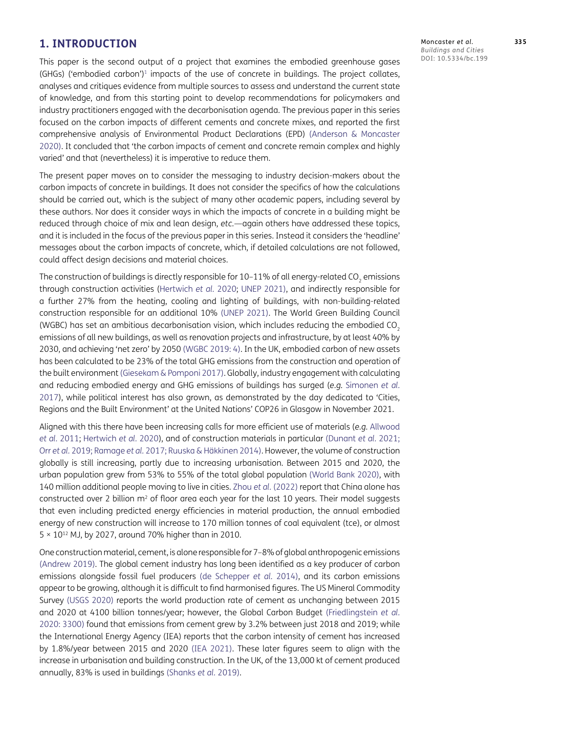#### **1. INTRODUCTION**

This paper is the second output of a project that examines the embodied greenhouse gases (GHGs) ('embodied carbon')<sup>1</sup> impacts of the use of concrete in buildings. The project collates, analyses and critiques evidence from multiple sources to assess and understand the current state of knowledge, and from this starting point to develop recommendations for policymakers and industry practitioners engaged with the decarbonisation agenda. The previous paper in this series focused on the carbon impacts of different cements and concrete mixes, and reported the first comprehensive analysis of Environmental Product Declarations (EPD) ([Anderson & Moncaster](#page-17-0) [2020](#page-17-0)). It concluded that 'the carbon impacts of cement and concrete remain complex and highly varied' and that (nevertheless) it is imperative to reduce them.

The present paper moves on to consider the messaging to industry decision-makers about the carbon impacts of concrete in buildings. It does not consider the specifics of how the calculations should be carried out, which is the subject of many other academic papers, including several by these authors. Nor does it consider ways in which the impacts of concrete in a building might be reduced through choice of mix and lean design, *etc.*—again others have addressed these topics, and it is included in the focus of the previous paper in this series. Instead it considers the 'headline' messages about the carbon impacts of concrete, which, if detailed calculations are not followed, could affect design decisions and material choices.

The construction of buildings is directly responsible for  $10-11\%$  of all energy-related CO<sub>2</sub> emissions through construction activities ([Hertwich](#page-18-0) *et al.* 2020; [UNEP 2021\)](#page-21-0), and indirectly responsible for a further 27% from the heating, cooling and lighting of buildings, with non-building-related construction responsible for an additional 10% [\(UNEP 2021](#page-21-0)). The World Green Building Council (WGBC) has set an ambitious decarbonisation vision, which includes reducing the embodied CO<sub>2</sub> emissions of all new buildings, as well as renovation projects and infrastructure, by at least 40% by 2030, and achieving 'net zero' by 2050 [\(WGBC 2019: 4\)](#page-21-1). In the UK, embodied carbon of new assets has been calculated to be 23% of the total GHG emissions from the construction and operation of the built environment ([Giesekam & Pomponi 2017\)](#page-18-1). Globally, industry engagement with calculating and reducing embodied energy and GHG emissions of buildings has surged (*e.g.* [Simonen](#page-20-0) *et al.* [2017](#page-20-0)), while political interest has also grown, as demonstrated by the day dedicated to 'Cities, Regions and the Built Environment' at the United Nations' COP26 in Glasgow in November 2021.

Aligned with this there have been increasing calls for more efficient use of materials (*e.g.* [Allwood](#page-17-1) *et al.* [2011](#page-17-1); [Hertwich](#page-18-0) *et al.* 2020), and of construction materials in particular ([Dunant](#page-18-2) *et al.* 2021; Orr *et al.* [2019;](#page-20-1) [Ramage](#page-20-2) *et al.* 2017; Ruuska & Häkkinen 2014). However, the volume of construction globally is still increasing, partly due to increasing urbanisation. Between 2015 and 2020, the urban population grew from 53% to 55% of the total global population [\(World Bank 2020\)](#page-21-2), with 140 million additional people moving to live in cities. Zhou *et al.* (2022) report that China alone has constructed over 2 billion m<sup>2</sup> of floor area each year for the last 10 years. Their model suggests that even including predicted energy efficiencies in material production, the annual embodied energy of new construction will increase to 170 million tonnes of coal equivalent (tce), or almost  $5 \times 10^{12}$  MJ, by 2027, around 70% higher than in 2010.

One construction material, cement, is alone responsible for 7–8% of global anthropogenic emissions [\(Andrew 2019\)](#page-17-2). The global cement industry has long been identified as a key producer of carbon emissions alongside fossil fuel producers (de Schepper *et al.* 2014), and its carbon emissions appear to be growing, although it is difficult to find harmonised figures. The US Mineral Commodity Survey [\(USGS 2020\)](#page-21-3) reports the world production rate of cement as unchanging between 2015 and 2020 at 4100 billion tonnes/year; however, the Global Carbon Budget (Friedlingstein *et al.* 2020: 3300) found that emissions from cement grew by 3.2% between just 2018 and 2019; while the International Energy Agency (IEA) reports that the carbon intensity of cement has increased by 1.8%/year between 2015 and 2020 ([IEA 2021\)](#page-19-0). These later figures seem to align with the increase in urbanisation and building construction. In the UK, of the 13,000 kt of cement produced annually, 83% is used in buildings ([Shanks](#page-20-3) *et al.* 2019).

Moncaster *et al*. **335** *Buildings and Cities* DOI: 10.5334/bc.199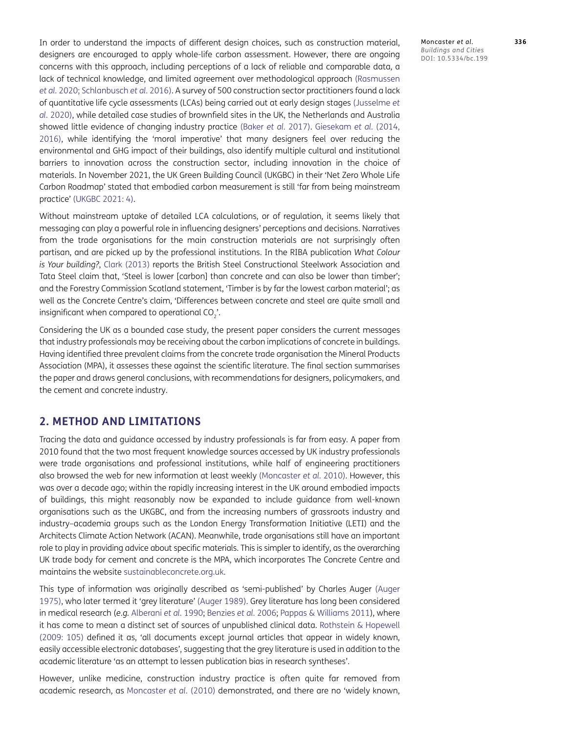In order to understand the impacts of different design choices, such as construction material, designers are encouraged to apply whole-life carbon assessment. However, there are ongoing concerns with this approach, including perceptions of a lack of reliable and comparable data, a lack of technical knowledge, and limited agreement over methodological approach (Rasmussen *et al.* 2020; Schlanbusch *et al.* 2016). A survey of 500 construction sector practitioners found a lack of quantitative life cycle assessments (LCAs) being carried out at early design stages [\(Jusselme](#page-19-1) *et al.* [2020\)](#page-19-1), while detailed case studies of brownfield sites in the UK, the Netherlands and Australia showed little evidence of changing industry practice ([Baker](#page-17-3) *et al.* 2017). [Giesekam](#page-18-3) *et al.* (2014, [2016](#page-18-4)), while identifying the 'moral imperative' that many designers feel over reducing the environmental and GHG impact of their buildings, also identify multiple cultural and institutional barriers to innovation across the construction sector, including innovation in the choice of materials. In November 2021, the UK Green Building Council (UKGBC) in their 'Net Zero Whole Life Carbon Roadmap' stated that embodied carbon measurement is still 'far from being mainstream practice' ([UKGBC 2021: 4](#page-21-4)).

Without mainstream uptake of detailed LCA calculations, or of regulation, it seems likely that messaging can play a powerful role in influencing designers' perceptions and decisions. Narratives from the trade organisations for the main construction materials are not surprisingly often partisan, and are picked up by the professional institutions. In the RIBA publication *What Colour is Your building?*, [Clark \(2013\)](#page-18-5) reports the British Steel Constructional Steelwork Association and Tata Steel claim that, 'Steel is lower [carbon] than concrete and can also be lower than timber'; and the Forestry Commission Scotland statement, 'Timber is by far the lowest carbon material'; as well as the Concrete Centre's claim, 'Differences between concrete and steel are quite small and insignificant when compared to operational  $CO<sub>2</sub>$ .

Considering the UK as a bounded case study, the present paper considers the current messages that industry professionals may be receiving about the carbon implications of concrete in buildings. Having identified three prevalent claims from the concrete trade organisation the Mineral Products Association (MPA), it assesses these against the scientific literature. The final section summarises the paper and draws general conclusions, with recommendations for designers, policymakers, and the cement and concrete industry.

#### **2. METHOD AND LIMITATIONS**

Tracing the data and guidance accessed by industry professionals is far from easy. A paper from 2010 found that the two most frequent knowledge sources accessed by UK industry professionals were trade organisations and professional institutions, while half of engineering practitioners also browsed the web for new information at least weekly ([Moncaster](#page-19-2) *et al.* 2010). However, this was over a decade ago; within the rapidly increasing interest in the UK around embodied impacts of buildings, this might reasonably now be expanded to include guidance from well-known organisations such as the UKGBC, and from the increasing numbers of grassroots industry and industry–academia groups such as the London Energy Transformation Initiative (LETI) and the Architects Climate Action Network (ACAN). Meanwhile, trade organisations still have an important role to play in providing advice about specific materials. This is simpler to identify, as the overarching UK trade body for cement and concrete is the MPA, which incorporates The Concrete Centre and maintains the website [sustainableconcrete.org.uk.](http://sustainableconcrete.org.uk)

This type of information was originally described as 'semi-published' by Charles Auger [\(Auger](#page-17-4) [1975](#page-17-4)), who later termed it 'grey literature' [\(Auger 1989\)](#page-17-5). Grey literature has long been considered in medical research (*e.g.* [Alberani](#page-17-6) *et al.* 1990; [Benzies](#page-17-7) *et al.* 2006; [Pappas & Williams 2011\)](#page-20-4), where it has come to mean a distinct set of sources of unpublished clinical data. [Rothstein & Hopewell](#page-20-5) [\(2009: 105\)](#page-20-5) defined it as, 'all documents except journal articles that appear in widely known, easily accessible electronic databases', suggesting that the grey literature is used in addition to the academic literature 'as an attempt to lessen publication bias in research syntheses'.

However, unlike medicine, construction industry practice is often quite far removed from academic research, as [Moncaster](#page-19-2) *et al.* (2010) demonstrated, and there are no 'widely known, Moncaster *et al*. **336** *Buildings and Cities* DOI: 10.5334/bc.199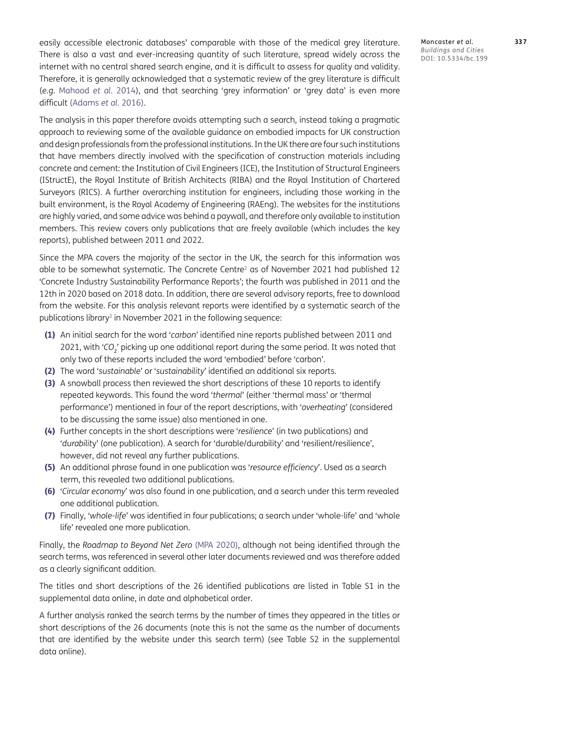easily accessible electronic databases' comparable with those of the medical grey literature. There is also a vast and ever-increasing quantity of such literature, spread widely across the internet with no central shared search engine, and it is difficult to assess for quality and validity. Therefore, it is generally acknowledged that a systematic review of the grey literature is difficult (*e.g.* [Mahood](#page-19-3) *et al.* 2014), and that searching 'grey information' or 'grey data' is even more difficult [\(Adams](#page-17-8) *et al.* 2016).

The analysis in this paper therefore avoids attempting such a search, instead taking a pragmatic approach to reviewing some of the available guidance on embodied impacts for UK construction and design professionals from the professional institutions. In the UK there are four such institutions that have members directly involved with the specification of construction materials including concrete and cement: the Institution of Civil Engineers (ICE), the Institution of Structural Engineers (IStructE), the Royal Institute of British Architects (RIBA) and the Royal Institution of Chartered Surveyors (RICS). A further overarching institution for engineers, including those working in the built environment, is the Royal Academy of Engineering (RAEng). The websites for the institutions are highly varied, and some advice was behind a paywall, and therefore only available to institution members. This review covers only publications that are freely available (which includes the key reports), published between 2011 and 2022.

Since the MPA covers the majority of the sector in the UK, the search for this information was able to be somewhat systematic. The Concrete Centre<sup>2</sup> as of November 2021 had published 12 'Concrete Industry Sustainability Performance Reports'; the fourth was published in 2011 and the 12th in 2020 based on 2018 data. In addition, there are several advisory reports, free to download from the website. For this analysis relevant reports were identified by a systematic search of the publications library<sup>3</sup> in November 2021 in the following sequence:

- **(1)** An initial search for the word '*carbon*' identified nine reports published between 2011 and 2021, with '*CO<sup>2</sup>* ' picking up one additional report during the same period. It was noted that only two of these reports included the word 'embodied' before 'carbon'.
- **(2)** The word '*sustainable*' or '*sustainability*' identified an additional six reports.
- **(3)** A snowball process then reviewed the short descriptions of these 10 reports to identify repeated keywords. This found the word '*thermal*' (either 'thermal mass' or 'thermal performance') mentioned in four of the report descriptions, with '*overheating'* (considered to be discussing the same issue) also mentioned in one.
- **(4)** Further concepts in the short descriptions were '*resilience*' (in two publications) and '*durabilit*y' (one publication). A search for 'durable/durability' and 'resilient/resilience', however, did not reveal any further publications.
- **(5)** An additional phrase found in one publication was '*resource efficiency*'. Used as a search term, this revealed two additional publications.
- **(6)** '*Circular economy*' was also found in one publication, and a search under this term revealed one additional publication.
- **(7)** Finally, '*whole-life*' was identified in four publications; a search under 'whole-life' and 'whole life' revealed one more publication.

Finally, the *Roadmap to Beyond Net Zero* ([MPA 2020](#page-20-6)), although not being identified through the search terms, was referenced in several other later documents reviewed and was therefore added as a clearly significant addition.

The titles and short descriptions of the 26 identified publications are listed in Table S1 in the supplemental data online, in date and alphabetical order.

A further analysis ranked the search terms by the number of times they appeared in the titles or short descriptions of the 26 documents (note this is not the same as the number of documents that are identified by the website under this search term) (see Table S2 in the supplemental data online).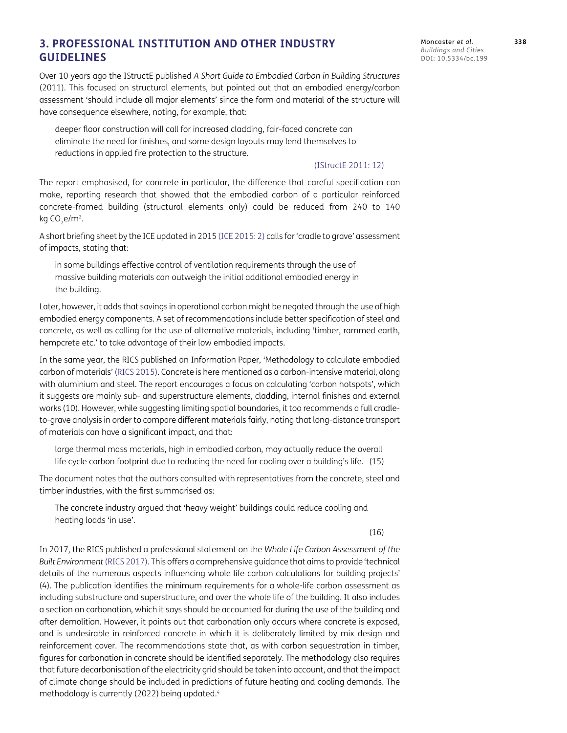#### **3. PROFESSIONAL INSTITUTION AND OTHER INDUSTRY GUIDELINES**

Over 10 years ago the IStructE published *A Short Guide to Embodied Carbon in Building Structures* (2011). This focused on structural elements, but pointed out that an embodied energy/carbon assessment 'should include all major elements' since the form and material of the structure will have consequence elsewhere, noting, for example, that:

deeper floor construction will call for increased cladding, fair-faced concrete can eliminate the need for finishes, and some design layouts may lend themselves to reductions in applied fire protection to the structure.

#### [\(IStructE 2011: 12](#page-19-4))

The report emphasised, for concrete in particular, the difference that careful specification can make, reporting research that showed that the embodied carbon of a particular reinforced concrete-framed building (structural elements only) could be reduced from 240 to 140 kg  $CO<sub>2</sub>e/m<sup>2</sup>$ .

A short briefing sheet by the ICE updated in 2015 ([ICE 2015](#page-19-5): 2) calls for 'cradle to grave' assessment of impacts, stating that:

in some buildings effective control of ventilation requirements through the use of massive building materials can outweigh the initial additional embodied energy in the building.

Later, however, it adds that savings in operational carbon might be negated through the use of high embodied energy components. A set of recommendations include better specification of steel and concrete, as well as calling for the use of alternative materials, including 'timber, rammed earth, hempcrete etc.' to take advantage of their low embodied impacts.

In the same year, the RICS published an Information Paper, 'Methodology to calculate embodied carbon of materials' ([RICS 2015](#page-20-7)). Concrete is here mentioned as a carbon-intensive material, along with aluminium and steel. The report encourages a focus on calculating 'carbon hotspots', which it suggests are mainly sub- and superstructure elements, cladding, internal finishes and external works (10). However, while suggesting limiting spatial boundaries, it too recommends a full cradleto-grave analysis in order to compare different materials fairly, noting that long-distance transport of materials can have a significant impact, and that:

large thermal mass materials, high in embodied carbon, may actually reduce the overall life cycle carbon footprint due to reducing the need for cooling over a building's life. (15)

The document notes that the authors consulted with representatives from the concrete, steel and timber industries, with the first summarised as:

The concrete industry argued that 'heavy weight' buildings could reduce cooling and heating loads 'in use'.

(16)

In 2017, the RICS published a professional statement on the *Whole Life Carbon Assessment of the Built Environment*[\(RICS 2017\)](#page-20-8). This offers a comprehensive guidance that aims to provide 'technical details of the numerous aspects influencing whole life carbon calculations for building projects' (4). The publication identifies the minimum requirements for a whole-life carbon assessment as including substructure and superstructure, and over the whole life of the building. It also includes a section on carbonation, which it says should be accounted for during the use of the building and after demolition. However, it points out that carbonation only occurs where concrete is exposed, and is undesirable in reinforced concrete in which it is deliberately limited by mix design and reinforcement cover. The recommendations state that, as with carbon sequestration in timber, figures for carbonation in concrete should be identified separately. The methodology also requires that future decarbonisation of the electricity grid should be taken into account, and that the impact of climate change should be included in predictions of future heating and cooling demands. The methodology is currently (2022) being updated.<sup>4</sup>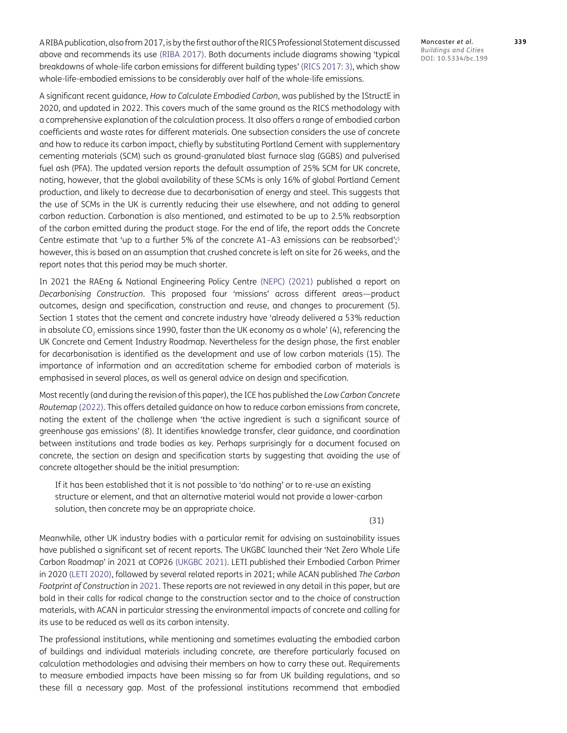A RIBA publication, also from 2017, is by the first author of the RICS Professional Statement discussed above and recommends its use [\(RIBA 2017\)](#page-20-9). Both documents include diagrams showing 'typical breakdowns of whole-life carbon emissions for different building types' [\(RICS 2017: 3\)](#page-20-8), which show whole-life-embodied emissions to be considerably over half of the whole-life emissions.

A significant recent guidance, *How to Calculate Embodied Carbon*, was published by the IStructE in 2020, and updated in 2022. This covers much of the same ground as the RICS methodology with a comprehensive explanation of the calculation process. It also offers a range of embodied carbon coefficients and waste rates for different materials. One subsection considers the use of concrete and how to reduce its carbon impact, chiefly by substituting Portland Cement with supplementary cementing materials (SCM) such as ground-granulated blast furnace slag (GGBS) and pulverised fuel ash (PFA). The updated version reports the default assumption of 25% SCM for UK concrete, noting, however, that the global availability of these SCMs is only 16% of global Portland Cement production, and likely to decrease due to decarbonisation of energy and steel. This suggests that the use of SCMs in the UK is currently reducing their use elsewhere, and not adding to general carbon reduction. Carbonation is also mentioned, and estimated to be up to 2.5% reabsorption of the carbon emitted during the product stage. For the end of life, the report adds the Concrete Centre estimate that 'up to a further 5% of the concrete A1-A3 emissions can be reabsorbed';<sup>5</sup> however, this is based on an assumption that crushed concrete is left on site for 26 weeks, and the report notes that this period may be much shorter.

In 2021 the RAEng & National Engineering Policy Centre [\(NEPC\) \(2021\)](#page-20-10) published a report on *Decarbonising Construction*. This proposed four 'missions' across different areas—product outcomes, design and specification, construction and reuse, and changes to procurement (5). Section 1 states that the cement and concrete industry have 'already delivered a 53% reduction in absolute CO<sub>2</sub> emissions since 1990, faster than the UK economy as a whole' (4), referencing the UK Concrete and Cement Industry Roadmap. Nevertheless for the design phase, the first enabler for decarbonisation is identified as the development and use of low carbon materials (15). The importance of information and an accreditation scheme for embodied carbon of materials is emphasised in several places, as well as general advice on design and specification.

Most recently (and during the revision of this paper), the ICE has published the *Low Carbon Concrete Routemap* [\(2022\)](#page-19-6). This offers detailed guidance on how to reduce carbon emissions from concrete, noting the extent of the challenge when 'the active ingredient is such a significant source of greenhouse gas emissions' (8). It identifies knowledge transfer, clear guidance, and coordination between institutions and trade bodies as key. Perhaps surprisingly for a document focused on concrete, the section on design and specification starts by suggesting that avoiding the use of concrete altogether should be the initial presumption:

If it has been established that it is not possible to 'do nothing' or to re-use an existing structure or element, and that an alternative material would not provide a lower-carbon solution, then concrete may be an appropriate choice.

(31)

Meanwhile, other UK industry bodies with a particular remit for advising on sustainability issues have published a significant set of recent reports. The UKGBC launched their 'Net Zero Whole Life Carbon Roadmap' in 2021 at COP26 [\(UKGBC 2021](#page-21-4)). LETI published their Embodied Carbon Primer in 2020 ([LETI 2020\)](#page-19-7), followed by several related reports in 2021; while ACAN published *The Carbon Footprint of Construction* in [2021](#page-17-9). These reports are not reviewed in any detail in this paper, but are bold in their calls for radical change to the construction sector and to the choice of construction materials, with ACAN in particular stressing the environmental impacts of concrete and calling for its use to be reduced as well as its carbon intensity.

The professional institutions, while mentioning and sometimes evaluating the embodied carbon of buildings and individual materials including concrete, are therefore particularly focused on calculation methodologies and advising their members on how to carry these out. Requirements to measure embodied impacts have been missing so far from UK building regulations, and so these fill a necessary gap. Most of the professional institutions recommend that embodied

Moncaster *et al*. **339** *Buildings and Cities* DOI: 10.5334/bc.199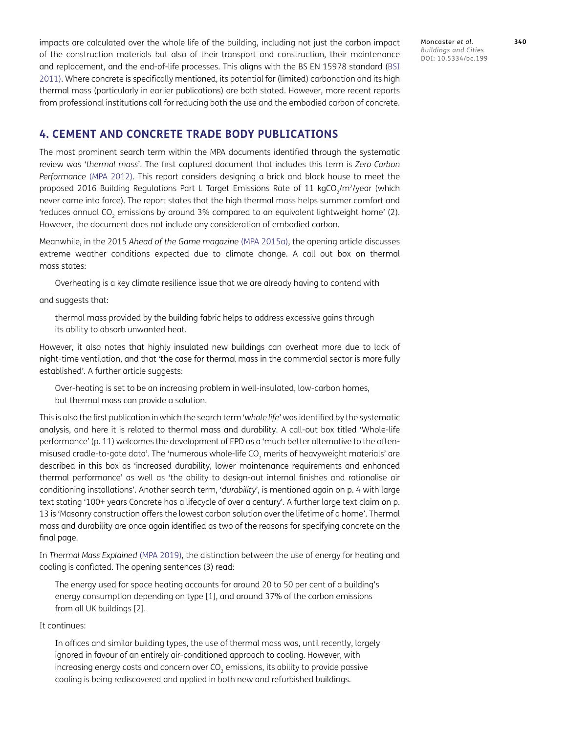impacts are calculated over the whole life of the building, including not just the carbon impact of the construction materials but also of their transport and construction, their maintenance and replacement, and the end-of-life processes. This aligns with the BS EN 15978 standard [\(BSI](#page-17-10) [2011](#page-17-10)). Where concrete is specifically mentioned, its potential for (limited) carbonation and its high thermal mass (particularly in earlier publications) are both stated. However, more recent reports from professional institutions call for reducing both the use and the embodied carbon of concrete.

Moncaster *et al*. **340** *Buildings and Cities* DOI: 10.5334/bc.199

#### **4. CEMENT AND CONCRETE TRADE BODY PUBLICATIONS**

The most prominent search term within the MPA documents identified through the systematic review was '*thermal mass*'. The first captured document that includes this term is *Zero Carbon Performance* [\(MPA 2012](#page-19-8)). This report considers designing a brick and block house to meet the proposed 2016 Building Regulations Part L Target Emissions Rate of 11 kgCO<sub>2</sub>/m<sup>2</sup>/year (which never came into force). The report states that the high thermal mass helps summer comfort and 'reduces annual CO<sub>2</sub> emissions by around 3% compared to an equivalent lightweight home' (2). However, the document does not include any consideration of embodied carbon.

Meanwhile, in the 2015 *Ahead of the Game magazine* [\(MPA 2015a](#page-19-9)), the opening article discusses extreme weather conditions expected due to climate change. A call out box on thermal mass states:

Overheating is a key climate resilience issue that we are already having to contend with

and suggests that:

thermal mass provided by the building fabric helps to address excessive gains through its ability to absorb unwanted heat.

However, it also notes that highly insulated new buildings can overheat more due to lack of night-time ventilation, and that 'the case for thermal mass in the commercial sector is more fully established'. A further article suggests:

Over-heating is set to be an increasing problem in well-insulated, low-carbon homes, but thermal mass can provide a solution.

This is also the first publication in which the search term '*whole life*' was identified by the systematic analysis, and here it is related to thermal mass and durability. A call-out box titled 'Whole-life performance' (p. 11) welcomes the development of EPD as a 'much better alternative to the oftenmisused cradle-to-gate data'. The 'numerous whole-life CO<sub>2</sub> merits of heavyweight materials' are described in this box as 'increased durability, lower maintenance requirements and enhanced thermal performance' as well as 'the ability to design-out internal finishes and rationalise air conditioning installations'. Another search term, '*durability*', is mentioned again on p. 4 with large text stating '100+ years Concrete has a lifecycle of over a century'. A further large text claim on p. 13 is 'Masonry construction offers the lowest carbon solution over the lifetime of a home'. Thermal mass and durability are once again identified as two of the reasons for specifying concrete on the final page.

In *Thermal Mass Explained* ([MPA 2019](#page-19-10)), the distinction between the use of energy for heating and cooling is conflated. The opening sentences (3) read:

The energy used for space heating accounts for around 20 to 50 per cent of a building's energy consumption depending on type [1], and around 37% of the carbon emissions from all UK buildings [2].

It continues:

In offices and similar building types, the use of thermal mass was, until recently, largely ignored in favour of an entirely air-conditioned approach to cooling. However, with increasing energy costs and concern over CO<sub>2</sub> emissions, its ability to provide passive cooling is being rediscovered and applied in both new and refurbished buildings.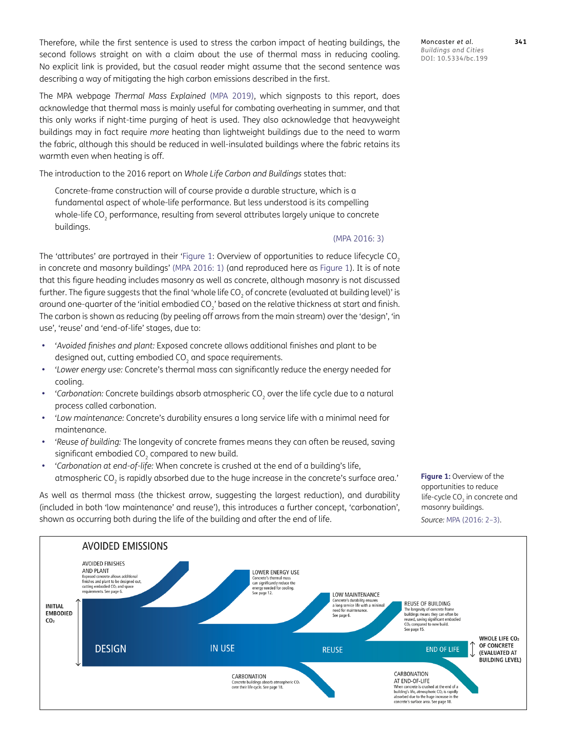Therefore, while the first sentence is used to stress the carbon impact of heating buildings, the second follows straight on with a claim about the use of thermal mass in reducing cooling. No explicit link is provided, but the casual reader might assume that the second sentence was describing a way of mitigating the high carbon emissions described in the first.

The MPA webpage *Thermal Mass Explained* ([MPA 2019](#page-19-10)), which signposts to this report, does acknowledge that thermal mass is mainly useful for combating overheating in summer, and that this only works if night-time purging of heat is used. They also acknowledge that heavyweight buildings may in fact require *more* heating than lightweight buildings due to the need to warm the fabric, although this should be reduced in well-insulated buildings where the fabric retains its warmth even when heating is off.

The introduction to the 2016 report on *Whole Life Carbon and Buildings* states that:

Concrete-frame construction will of course provide a durable structure, which is a fundamental aspect of whole-life performance. But less understood is its compelling whole-life CO<sub>2</sub> performance, resulting from several attributes largely unique to concrete buildings.

#### ([MPA 2016: 3](#page-19-11))

The 'attributes' are portrayed in their 'Figure 1: Overview of opportunities to reduce lifecycle CO<sub>2</sub> in concrete and masonry buildings' [\(MPA 2016: 1](#page-19-11)) (and reproduced here as Figure 1). It is of note that this figure heading includes masonry as well as concrete, although masonry is not discussed further. The figure suggests that the final 'whole life CO<sub>2</sub> of concrete (evaluated at building level)' is around one-quarter of the 'initial embodied CO<sub>2</sub>' based on the relative thickness at start and finish. The carbon is shown as reducing (by peeling off arrows from the main stream) over the 'design', 'in use', 'reuse' and 'end-of-life' stages, due to:

- **•**  '*Avoided finishes and plant:* Exposed concrete allows additional finishes and plant to be designed out, cutting embodied CO<sub>2</sub> and space requirements.
- **•**  '*Lower energy use:* Concrete's thermal mass can significantly reduce the energy needed for cooling.
- **•**  '*Carbonation:* Concrete buildings absorb atmospheric CO2 over the life cycle due to a natural process called carbonation.
- **•**  '*Low maintenance:* Concrete's durability ensures a long service life with a minimal need for maintenance.
- **•**  '*Reuse of building:* The longevity of concrete frames means they can often be reused, saving significant embodied CO<sub>2</sub> compared to new build.
- **•**  '*Carbonation at end-of-life:* When concrete is crushed at the end of a building's life, atmospheric CO<sub>2</sub> is rapidly absorbed due to the huge increase in the concrete's surface area.'

As well as thermal mass (the thickest arrow, suggesting the largest reduction), and durability (included in both 'low maintenance' and reuse'), this introduces a further concept, 'carbonation', shown as occurring both during the life of the building and after the end of life.

**Figure 1: Overview of the** opportunities to reduce life-cycle CO<sub>2</sub> in concrete and masonry buildings.

*Source:* [MPA \(2016: 2–3\).](#page-19-11)

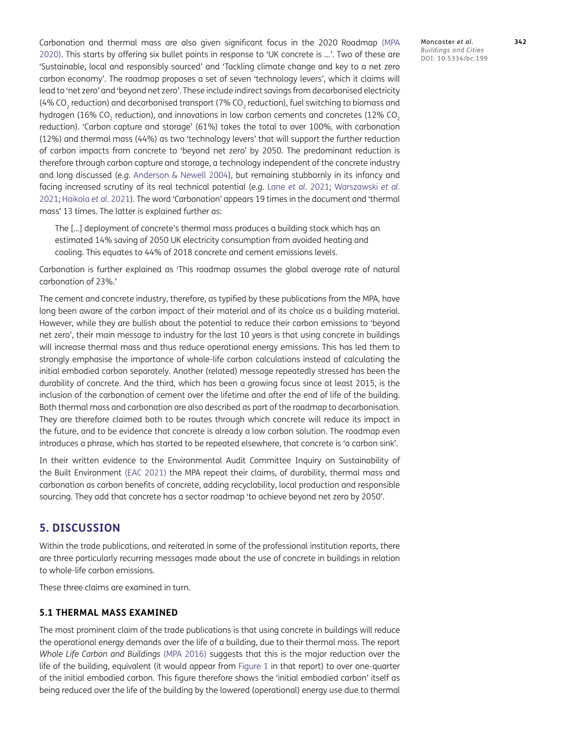Carbonation and thermal mass are also given significant focus in the 2020 Roadmap [\(MPA](#page-20-6) [2020](#page-20-6)). This starts by offering six bullet points in response to 'UK concrete is …'. Two of these are 'Sustainable, local and responsibly sourced' and 'Tackling climate change and key to a net zero carbon economy'. The roadmap proposes a set of seven 'technology levers', which it claims will lead to 'net zero' and 'beyond net zero'. These include indirect savings from decarbonised electricity (4% CO<sub>2</sub> reduction) and decarbonised transport (7% CO<sub>2</sub> reduction), fuel switching to biomass and hydrogen (16% CO<sub>2</sub> reduction), and innovations in low carbon cements and concretes (12% CO<sub>2</sub> reduction). 'Carbon capture and storage' (61%) takes the total to over 100%, with carbonation (12%) and thermal mass (44%) as two 'technology levers' that will support the further reduction of carbon impacts from concrete to 'beyond net zero' by 2050. The predominant reduction is therefore through carbon capture and storage, a technology independent of the concrete industry and long discussed (*e.g.* [Anderson & Newell 2004](#page-17-11)), but remaining stubbornly in its infancy and facing increased scrutiny of its real technical potential (*e.g.* Lane *et al.* [2021;](#page-19-12) Warszawski *et al.* 2021; [Haikola](#page-18-6) *et al.* 2021). The word 'Carbonation' appears 19 times in the document and 'thermal mass' 13 times. The latter is explained further as:

The […] deployment of concrete's thermal mass produces a building stock which has an estimated 14% saving of 2050 UK electricity consumption from avoided heating and cooling. This equates to 44% of 2018 concrete and cement emissions levels.

Carbonation is further explained as 'This roadmap assumes the global average rate of natural carbonation of 23%.'

The cement and concrete industry, therefore, as typified by these publications from the MPA, have long been aware of the carbon impact of their material and of its choice as a building material. However, while they are bullish about the potential to reduce their carbon emissions to 'beyond net zero', their main message to industry for the last 10 years is that using concrete in buildings will increase thermal mass and thus reduce operational energy emissions. This has led them to strongly emphasise the importance of whole-life carbon calculations instead of calculating the initial embodied carbon separately. Another (related) message repeatedly stressed has been the durability of concrete. And the third, which has been a growing focus since at least 2015, is the inclusion of the carbonation of cement over the lifetime and after the end of life of the building. Both thermal mass and carbonation are also described as part of the roadmap to decarbonisation. They are therefore claimed both to be routes through which concrete will reduce its impact in the future, and to be evidence that concrete is already a low carbon solution. The roadmap even introduces a phrase, which has started to be repeated elsewhere, that concrete is 'a carbon sink'.

In their written evidence to the Environmental Audit Committee Inquiry on Sustainability of the Built Environment ([EAC 2021\)](#page-18-7) the MPA repeat their claims, of durability, thermal mass and carbonation as carbon benefits of concrete, adding recyclability, local production and responsible sourcing. They add that concrete has a sector roadmap 'to achieve beyond net zero by 2050'.

#### **5. DISCUSSION**

Within the trade publications, and reiterated in some of the professional institution reports, there are three particularly recurring messages made about the use of concrete in buildings in relation to whole-life carbon emissions.

These three claims are examined in turn.

#### **5.1 THERMAL MASS EXAMINED**

The most prominent claim of the trade publications is that using concrete in buildings will reduce the operational energy demands over the life of a building, due to their thermal mass. The report *Whole Life Carbon and Buildings* ([MPA 2016](#page-19-11)) suggests that this is the major reduction over the life of the building, equivalent (it would appear from Figure 1 in that report) to over one-quarter of the initial embodied carbon. This figure therefore shows the 'initial embodied carbon' itself as being reduced over the life of the building by the lowered (operational) energy use due to thermal

Moncaster *et al*. **342** *Buildings and Cities* DOI: 10.5334/bc.199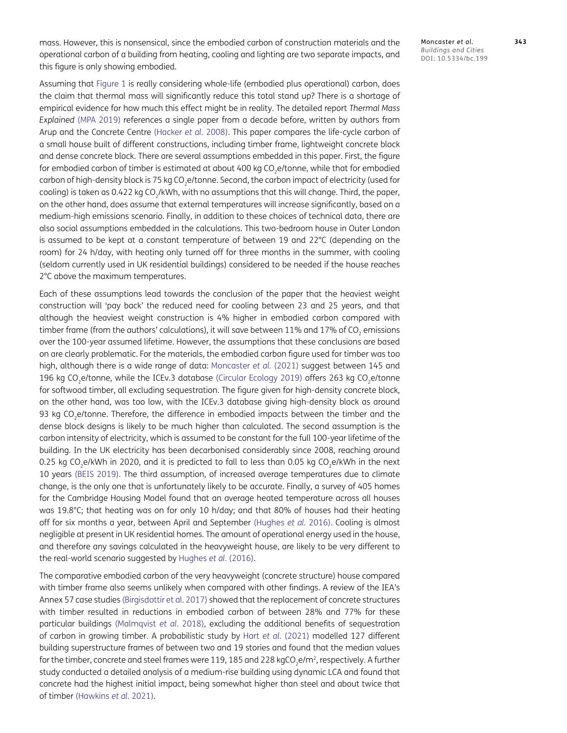mass. However, this is nonsensical, since the embodied carbon of construction materials and the operational carbon of a building from heating, cooling and lighting are two separate impacts, and this figure is only showing embodied.

Assuming that Figure 1 is really considering whole-life (embodied plus operational) carbon, does the claim that thermal mass will significantly reduce this total stand up? There is a shortage of empirical evidence for how much this effect might be in reality. The detailed report *Thermal Mass Explained* ([MPA 2019](#page-19-10)) references a single paper from a decade before, written by authors from Arup and the Concrete Centre [\(Hacker](#page-18-8) *et al.* 2008). This paper compares the life-cycle carbon of a small house built of different constructions, including timber frame, lightweight concrete block and dense concrete block. There are several assumptions embedded in this paper. First, the figure for embodied carbon of timber is estimated at about 400 kg  $CO<sub>2</sub>e/tonne$ , while that for embodied carbon of high-density block is 75 kg CO<sub>2</sub>e/tonne. Second, the carbon impact of electricity (used for cooling) is taken as 0.422 kg CO<sub>2</sub>/kWh, with no assumptions that this will change. Third, the paper, on the other hand, does assume that external temperatures will increase significantly, based on a medium-high emissions scenario. Finally, in addition to these choices of technical data, there are also social assumptions embedded in the calculations. This two-bedroom house in Outer London is assumed to be kept at a constant temperature of between 19 and 22°C (depending on the room) for 24 h/day, with heating only turned off for three months in the summer, with cooling (seldom currently used in UK residential buildings) considered to be needed if the house reaches 2°C above the maximum temperatures.

Each of these assumptions lead towards the conclusion of the paper that the heaviest weight construction will 'pay back' the reduced need for cooling between 23 and 25 years, and that although the heaviest weight construction is 4% higher in embodied carbon compared with timber frame (from the authors' calculations), it will save between 11% and 17% of CO<sub>2</sub> emissions over the 100-year assumed lifetime. However, the assumptions that these conclusions are based on are clearly problematic. For the materials, the embodied carbon figure used for timber was too high, although there is a wide range of data: [Moncaster](#page-19-13) *et al.* (2021) suggest between 145 and 196 kg CO<sub>2</sub>e/tonne, while the ICEv.3 database [\(Circular Ecology 2019\)](#page-18-9) offers 263 kg CO<sub>2</sub>e/tonne for softwood timber, all excluding sequestration. The figure given for high-density concrete block, on the other hand, was too low, with the ICEv.3 database giving high-density block as around 93 kg CO<sub>2</sub>e/tonne. Therefore, the difference in embodied impacts between the timber and the dense block designs is likely to be much higher than calculated. The second assumption is the carbon intensity of electricity, which is assumed to be constant for the full 100-year lifetime of the building. In the UK electricity has been decarbonised considerably since 2008, reaching around 0.25 kg CO<sub>2</sub>e/kWh in 2020, and it is predicted to fall to less than 0.05 kg CO<sub>2</sub>e/kWh in the next 10 years ([BEIS 2019](#page-17-12)). The third assumption, of increased average temperatures due to climate change, is the only one that is unfortunately likely to be accurate. Finally, a survey of 405 homes for the Cambridge Housing Model found that an average heated temperature across all houses was 19.8°C; that heating was on for only 10 h/day; and that 80% of houses had their heating off for six months a year, between April and September [\(Hughes](#page-18-10) *et al.* 2016). Cooling is almost negligible at present in UK residential homes. The amount of operational energy used in the house, and therefore any savings calculated in the heavyweight house, are likely to be very different to the real-world scenario suggested by [Hughes](#page-18-10) *et al.* (2016).

The comparative embodied carbon of the very heavyweight (concrete structure) house compared with timber frame also seems unlikely when compared with other findings. A review of the IEA's Annex 57 case studies ([Birgisdottir et al. 2017](#page-17-13)) showed that the replacement of concrete structures with timber resulted in reductions in embodied carbon of between 28% and 77% for these particular buildings [\(Malmqvist](#page-19-14) *et al.* 2018), excluding the additional benefits of sequestration of carbon in growing timber. A probabilistic study by Hart *et al.* (2021) modelled 127 different building superstructure frames of between two and 19 stories and found that the median values for the timber, concrete and steel frames were 119, 185 and 228 kgCO<sub>2</sub>e/m<sup>2</sup>, respectively. A further study conducted a detailed analysis of a medium-rise building using dynamic LCA and found that concrete had the highest initial impact, being somewhat higher than steel and about twice that of timber [\(Hawkins](#page-18-11) *et al.* 2021).

Moncaster *et al*. **343** *Buildings and Cities* DOI: 10.5334/bc.199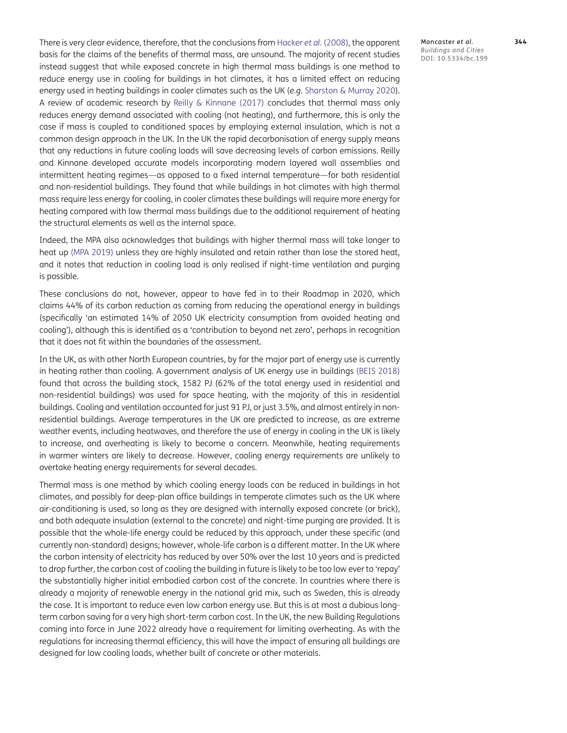There is very clear evidence, therefore, that the conclusions from [Hacker](#page-18-8) *et al.* (2008), the apparent basis for the claims of the benefits of thermal mass, are unsound. The majority of recent studies instead suggest that while exposed concrete in high thermal mass buildings is one method to reduce energy use in cooling for buildings in hot climates, it has a limited effect on reducing energy used in heating buildings in cooler climates such as the UK (*e.g.* [Sharston & Murray 2020\)](#page-20-11). A review of academic research by [Reilly & Kinnane \(2017\)](#page-20-12) concludes that thermal mass only reduces energy demand associated with cooling (not heating), and furthermore, this is only the case if mass is coupled to conditioned spaces by employing external insulation, which is not a common design approach in the UK. In the UK the rapid decarbonisation of energy supply means that any reductions in future cooling loads will save decreasing levels of carbon emissions. Reilly and Kinnane developed accurate models incorporating modern layered wall assemblies and intermittent heating regimes—as opposed to a fixed internal temperature—for both residential and non-residential buildings. They found that while buildings in hot climates with high thermal mass require less energy for cooling, in cooler climates these buildings will require more energy for heating compared with low thermal mass buildings due to the additional requirement of heating the structural elements as well as the internal space.

Indeed, the MPA also acknowledges that buildings with higher thermal mass will take longer to heat up [\(MPA 2019\)](#page-19-10) unless they are highly insulated and retain rather than lose the stored heat, and it notes that reduction in cooling load is only realised if night-time ventilation and purging is possible.

These conclusions do not, however, appear to have fed in to their Roadmap in 2020, which claims 44% of its carbon reduction as coming from reducing the operational energy in buildings (specifically 'an estimated 14% of 2050 UK electricity consumption from avoided heating and cooling'), although this is identified as a 'contribution to beyond net zero', perhaps in recognition that it does not fit within the boundaries of the assessment.

In the UK, as with other North European countries, by far the major part of energy use is currently in heating rather than cooling. A government analysis of UK energy use in buildings ([BEIS 2018](#page-17-14)) found that across the building stock, 1582 PJ (62% of the total energy used in residential and non-residential buildings) was used for space heating, with the majority of this in residential buildings. Cooling and ventilation accounted for just 91 PJ, or just 3.5%, and almost entirely in nonresidential buildings. Average temperatures in the UK are predicted to increase, as are extreme weather events, including heatwaves, and therefore the use of energy in cooling in the UK is likely to increase, and overheating is likely to become a concern. Meanwhile, heating requirements in warmer winters are likely to decrease. However, cooling energy requirements are unlikely to overtake heating energy requirements for several decades.

Thermal mass is one method by which cooling energy loads can be reduced in buildings in hot climates, and possibly for deep-plan office buildings in temperate climates such as the UK where air-conditioning is used, so long as they are designed with internally exposed concrete (or brick), and both adequate insulation (external to the concrete) and night-time purging are provided. It is possible that the whole-life energy could be reduced by this approach, under these specific (and currently non-standard) designs; however, whole-life carbon is a different matter. In the UK where the carbon intensity of electricity has reduced by over 50% over the last 10 years and is predicted to drop further, the carbon cost of cooling the building in future is likely to be too low ever to 'repay' the substantially higher initial embodied carbon cost of the concrete. In countries where there is already a majority of renewable energy in the national grid mix, such as Sweden, this is already the case. It is important to reduce even low carbon energy use. But this is at most a dubious longterm carbon saving for a very high short-term carbon cost. In the UK, the new Building Regulations coming into force in June 2022 already have a requirement for limiting overheating. As with the regulations for increasing thermal efficiency, this will have the impact of ensuring all buildings are designed for low cooling loads, whether built of concrete or other materials.

Moncaster *et al*. **344** *Buildings and Cities* DOI: 10.5334/bc.199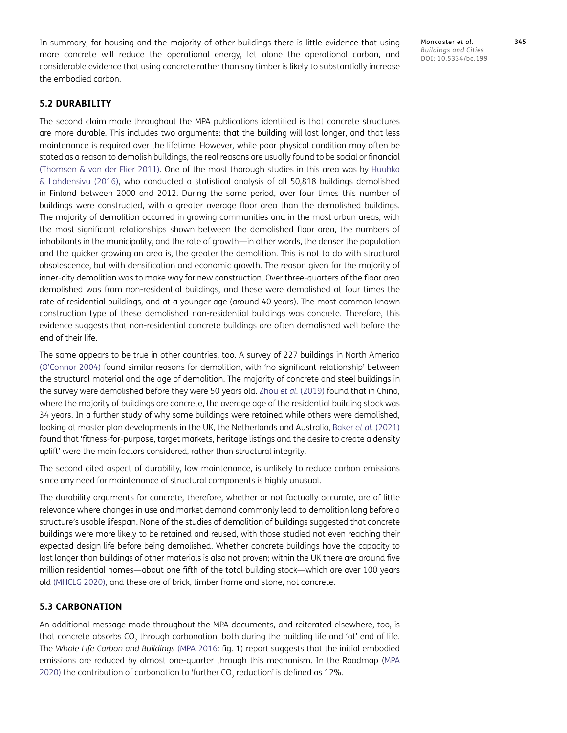In summary, for housing and the majority of other buildings there is little evidence that using more concrete will reduce the operational energy, let alone the operational carbon, and considerable evidence that using concrete rather than say timber is likely to substantially increase the embodied carbon.

Moncaster *et al*. **345** *Buildings and Cities* DOI: 10.5334/bc.199

#### **5.2 DURABILITY**

The second claim made throughout the MPA publications identified is that concrete structures are more durable. This includes two arguments: that the building will last longer, and that less maintenance is required over the lifetime. However, while poor physical condition may often be stated as a reason to demolish buildings, the real reasons are usually found to be social or financial [\(Thomsen & van der Flier 2011\)](#page-21-5). One of the most thorough studies in this area was by [Huuhka](#page-18-12) [& Lahdensivu \(2016\)](#page-18-12), who conducted a statistical analysis of all 50,818 buildings demolished in Finland between 2000 and 2012. During the same period, over four times this number of buildings were constructed, with a greater average floor area than the demolished buildings. The majority of demolition occurred in growing communities and in the most urban areas, with the most significant relationships shown between the demolished floor area, the numbers of inhabitants in the municipality, and the rate of growth—in other words, the denser the population and the quicker growing an area is, the greater the demolition. This is not to do with structural obsolescence, but with densification and economic growth. The reason given for the majority of inner-city demolition was to make way for new construction. Over three-quarters of the floor area demolished was from non-residential buildings, and these were demolished at four times the rate of residential buildings, and at a younger age (around 40 years). The most common known construction type of these demolished non-residential buildings was concrete. Therefore, this evidence suggests that non-residential concrete buildings are often demolished well before the end of their life.

The same appears to be true in other countries, too. A survey of 227 buildings in North America (O'Connor 2004) found similar reasons for demolition, with 'no significant relationship' between the structural material and the age of demolition. The majority of concrete and steel buildings in the survey were demolished before they were 50 years old. Zhou *et al.* (2019) found that in China, where the majority of buildings are concrete, the average age of the residential building stock was 34 years. In a further study of why some buildings were retained while others were demolished, looking at master plan developments in the UK, the Netherlands and Australia, Baker *et al.* (2021) found that 'fitness-for-purpose, target markets, heritage listings and the desire to create a density uplift' were the main factors considered, rather than structural integrity.

The second cited aspect of durability, low maintenance, is unlikely to reduce carbon emissions since any need for maintenance of structural components is highly unusual.

The durability arguments for concrete, therefore, whether or not factually accurate, are of little relevance where changes in use and market demand commonly lead to demolition long before a structure's usable lifespan. None of the studies of demolition of buildings suggested that concrete buildings were more likely to be retained and reused, with those studied not even reaching their expected design life before being demolished. Whether concrete buildings have the capacity to last longer than buildings of other materials is also not proven; within the UK there are around five million residential homes—about one fifth of the total building stock—which are over 100 years old [\(MHCLG 2020](#page-19-15)), and these are of brick, timber frame and stone, not concrete.

#### **5.3 CARBONATION**

An additional message made throughout the MPA documents, and reiterated elsewhere, too, is that concrete absorbs CO<sub>2</sub> through carbonation, both during the building life and 'at' end of life. The *Whole Life Carbon and Buildings* ([MPA 2016:](#page-19-11) fig. 1) report suggests that the initial embodied emissions are reduced by almost one-quarter through this mechanism. In the Roadmap [\(MPA](#page-20-6) [2020](#page-20-6)) the contribution of carbonation to 'further CO<sub>2</sub> reduction' is defined as 12%.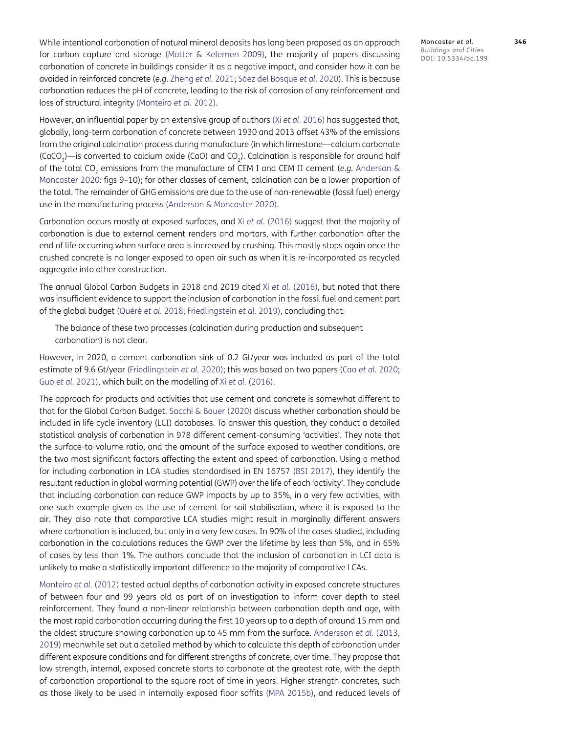Moncaster *et al*. **346** *Buildings and Cities* DOI: 10.5334/bc.199

While intentional carbonation of natural mineral deposits has long been proposed as an approach for carbon capture and storage ([Matter & Kelemen 2009\)](#page-19-16), the majority of papers discussing carbonation of concrete in buildings consider it as a negative impact, and consider how it can be avoided in reinforced concrete (*e.g.* [Zheng](#page-21-6) *et al.* 2021; Sáez del Bosque *et al.* 2020). This is because carbonation reduces the pH of concrete, leading to the risk of corrosion of any reinforcement and loss of structural integrity [\(Monteiro](#page-19-17) *et al.* 2012).

However, an influential paper by an extensive group of authors (Xi *et al.* [2016\)](#page-21-7) has suggested that, globally, long-term carbonation of concrete between 1930 and 2013 offset 43% of the emissions from the original calcination process during manufacture (in which limestone—calcium carbonate  $(CaCO<sub>3</sub>)$ —is converted to calcium oxide  $(CaO)$  and  $CO<sub>3</sub>$ ). Calcination is responsible for around half of the total CO<sub>2</sub> emissions from the manufacture of CEM I and CEM II cement (e.g. [Anderson &](#page-17-0) [Moncaster 2020:](#page-17-0) figs 9–10); for other classes of cement, calcination can be a lower proportion of the total. The remainder of GHG emissions are due to the use of non-renewable (fossil fuel) energy use in the manufacturing process ([Anderson & Moncaster 2020](#page-17-0)).

Carbonation occurs mostly at exposed surfaces, and Xi *et al.* [\(2016\)](#page-21-7) suggest that the majority of carbonation is due to external cement renders and mortars, with further carbonation after the end of life occurring when surface area is increased by crushing. This mostly stops again once the crushed concrete is no longer exposed to open air such as when it is re-incorporated as recycled aggregate into other construction.

The annual Global Carbon Budgets in 2018 and 2019 cited Xi *et al.* [\(2016\)](#page-21-7), but noted that there was insufficient evidence to support the inclusion of carbonation in the fossil fuel and cement part of the global budget (Quéré *et al.* 2018; Friedlingstein *et al.* 2019), concluding that:

The balance of these two processes (calcination during production and subsequent carbonation) is not clear.

However, in 2020, a cement carbonation sink of 0.2 Gt/year was included as part of the total estimate of 9.6 Gt/year (Friedlingstein *et al.* 2020); this was based on two papers (Cao *et al.* [2020;](#page-18-13) Guo *et al.* [2021](#page-18-14)), which built on the modelling of Xi *et al.* [\(2016\)](#page-21-7).

The approach for products and activities that use cement and concrete is somewhat different to that for the Global Carbon Budget. [Sacchi & Bauer \(2020\)](#page-20-13) discuss whether carbonation should be included in life cycle inventory (LCI) databases. To answer this question, they conduct a detailed statistical analysis of carbonation in 978 different cement-consuming 'activities'. They note that the surface-to-volume ratio, and the amount of the surface exposed to weather conditions, are the two most significant factors affecting the extent and speed of carbonation. Using a method for including carbonation in LCA studies standardised in EN 16757 [\(BSI 2017\)](#page-17-15), they identify the resultant reduction in global warming potential (GWP) over the life of each 'activity'. They conclude that including carbonation can reduce GWP impacts by up to 35%, in a very few activities, with one such example given as the use of cement for soil stabilisation, where it is exposed to the air. They also note that comparative LCA studies might result in marginally different answers where carbonation is included, but only in a very few cases. In 90% of the cases studied, including carbonation in the calculations reduces the GWP over the lifetime by less than 5%, and in 65% of cases by less than 1%. The authors conclude that the inclusion of carbonation in LCI data is unlikely to make a statistically important difference to the majority of comparative LCAs.

[Monteiro](#page-19-17) *et al.* (2012) tested actual depths of carbonation activity in exposed concrete structures of between four and 99 years old as part of an investigation to inform cover depth to steel reinforcement. They found a non-linear relationship between carbonation depth and age, with the most rapid carbonation occurring during the first 10 years up to a depth of around 15 mm and the oldest structure showing carbonation up to 45 mm from the surface. Andersson *et al.* (2013, [2019](#page-17-16)) meanwhile set out a detailed method by which to calculate this depth of carbonation under different exposure conditions and for different strengths of concrete, over time. They propose that low strength, internal, exposed concrete starts to carbonate at the greatest rate, with the depth of carbonation proportional to the square root of time in years. Higher strength concretes, such as those likely to be used in internally exposed floor soffits [\(MPA 2015b\)](#page-19-18), and reduced levels of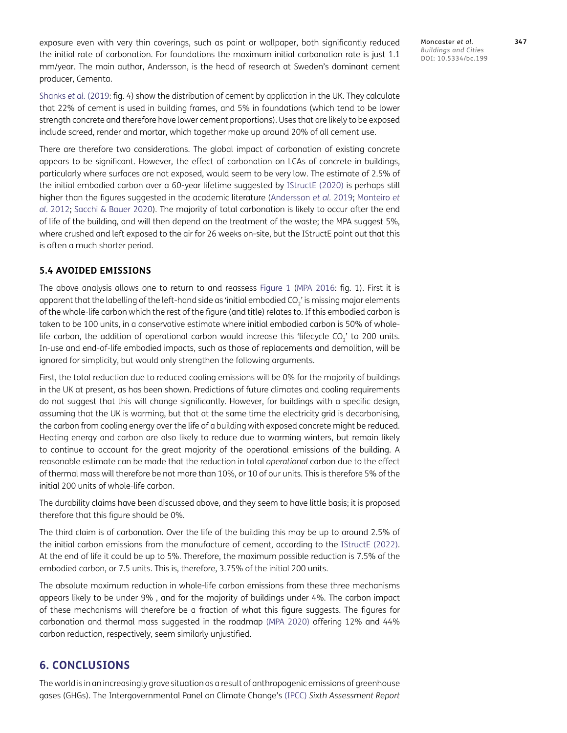exposure even with very thin coverings, such as paint or wallpaper, both significantly reduced the initial rate of carbonation. For foundations the maximum initial carbonation rate is just 1.1 mm/year. The main author, Andersson, is the head of research at Sweden's dominant cement producer, Cementa.

[Shanks](#page-20-3) *et al.* (2019: fig. 4) show the distribution of cement by application in the UK. They calculate that 22% of cement is used in building frames, and 5% in foundations (which tend to be lower strength concrete and therefore have lower cement proportions). Uses that are likely to be exposed include screed, render and mortar, which together make up around 20% of all cement use.

There are therefore two considerations. The global impact of carbonation of existing concrete appears to be significant. However, the effect of carbonation on LCAs of concrete in buildings, particularly where surfaces are not exposed, would seem to be very low. The estimate of 2.5% of the initial embodied carbon over a 60-year lifetime suggested by [IStructE \(2020\)](#page-19-19) is perhaps still higher than the figures suggested in the academic literature ([Andersson](#page-17-16) *et al.* 2019; [Monteiro](#page-19-17) *et al.* [2012](#page-19-17); [Sacchi & Bauer 2020\)](#page-20-13). The majority of total carbonation is likely to occur after the end of life of the building, and will then depend on the treatment of the waste; the MPA suggest 5%, where crushed and left exposed to the air for 26 weeks on-site, but the IStructE point out that this is often a much shorter period.

#### **5.4 AVOIDED EMISSIONS**

The above analysis allows one to return to and reassess Figure 1 ([MPA 2016:](#page-19-11) fig. 1). First it is apparent that the labelling of the left-hand side as 'initial embodied CO<sub>2</sub>' is missing major elements of the whole-life carbon which the rest of the figure (and title) relates to. If this embodied carbon is taken to be 100 units, in a conservative estimate where initial embodied carbon is 50% of wholelife carbon, the addition of operational carbon would increase this 'lifecycle CO<sub>'</sub> to 200 units. In-use and end-of-life embodied impacts, such as those of replacements and demolition, will be ignored for simplicity, but would only strengthen the following arguments.

First, the total reduction due to reduced cooling emissions will be 0% for the majority of buildings in the UK at present, as has been shown. Predictions of future climates and cooling requirements do not suggest that this will change significantly. However, for buildings with a specific design, assuming that the UK is warming, but that at the same time the electricity grid is decarbonising, the carbon from cooling energy over the life of a building with exposed concrete might be reduced. Heating energy and carbon are also likely to reduce due to warming winters, but remain likely to continue to account for the great majority of the operational emissions of the building. A reasonable estimate can be made that the reduction in total *operational* carbon due to the effect of thermal mass will therefore be not more than 10%, or 10 of our units. This is therefore 5% of the initial 200 units of whole-life carbon.

The durability claims have been discussed above, and they seem to have little basis; it is proposed therefore that this figure should be 0%.

The third claim is of carbonation. Over the life of the building this may be up to around 2.5% of the initial carbon emissions from the manufacture of cement, according to the [IStructE \(2022\).](#page-19-20) At the end of life it could be up to 5%. Therefore, the maximum possible reduction is 7.5% of the embodied carbon, or 7.5 units. This is, therefore, 3.75% of the initial 200 units.

The absolute maximum reduction in whole-life carbon emissions from these three mechanisms appears likely to be under 9% , and for the majority of buildings under 4%. The carbon impact of these mechanisms will therefore be a fraction of what this figure suggests. The figures for carbonation and thermal mass suggested in the roadmap [\(MPA 2020\)](#page-20-6) offering 12% and 44% carbon reduction, respectively, seem similarly unjustified.

#### **6. CONCLUSIONS**

The world is in an increasingly grave situation as a result of anthropogenic emissions of greenhouse gases (GHGs). The Intergovernmental Panel on Climate Change's [\(IPCC\)](#page-19-21) *Sixth Assessment Report* Moncaster *et al*. **347** *Buildings and Cities* DOI: 10.5334/bc.199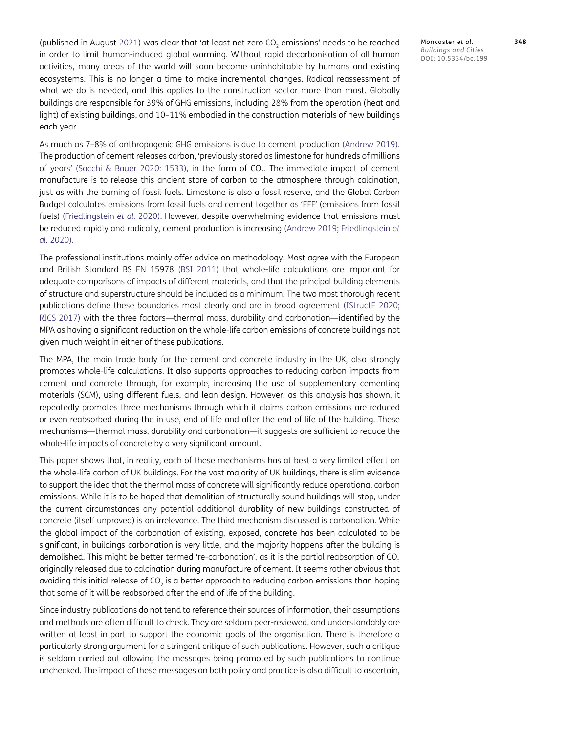(published in August [2021](#page-19-21)) was clear that 'at least net zero  $CO<sub>2</sub>$  emissions' needs to be reached in order to limit human-induced global warming. Without rapid decarbonisation of all human activities, many areas of the world will soon become uninhabitable by humans and existing ecosystems. This is no longer a time to make incremental changes. Radical reassessment of what we do is needed, and this applies to the construction sector more than most. Globally buildings are responsible for 39% of GHG emissions, including 28% from the operation (heat and light) of existing buildings, and 10–11% embodied in the construction materials of new buildings each year.

As much as 7–8% of anthropogenic GHG emissions is due to cement production ([Andrew 2019\)](#page-17-2). The production of cement releases carbon, 'previously stored as limestone for hundreds of millions of years' ([Sacchi & Bauer 2020: 1533\)](#page-20-13), in the form of CO<sub>2</sub>. The immediate impact of cement manufacture is to release this ancient store of carbon to the atmosphere through calcination, just as with the burning of fossil fuels. Limestone is also a fossil reserve, and the Global Carbon Budget calculates emissions from fossil fuels and cement together as 'EFF' (emissions from fossil fuels) (Friedlingstein *et al.* 2020). However, despite overwhelming evidence that emissions must be reduced rapidly and radically, cement production is increasing ([Andrew 2019;](#page-17-2) Friedlingstein *et al.* 2020).

The professional institutions mainly offer advice on methodology. Most agree with the European and British Standard BS EN 15978 [\(BSI 2011](#page-17-10)) that whole-life calculations are important for adequate comparisons of impacts of different materials, and that the principal building elements of structure and superstructure should be included as a minimum. The two most thorough recent publications define these boundaries most clearly and are in broad agreement ([IStructE 2020;](#page-19-19) [RICS 2017](#page-20-8)) with the three factors—thermal mass, durability and carbonation—identified by the MPA as having a significant reduction on the whole-life carbon emissions of concrete buildings not given much weight in either of these publications.

The MPA, the main trade body for the cement and concrete industry in the UK, also strongly promotes whole-life calculations. It also supports approaches to reducing carbon impacts from cement and concrete through, for example, increasing the use of supplementary cementing materials (SCM), using different fuels, and lean design. However, as this analysis has shown, it repeatedly promotes three mechanisms through which it claims carbon emissions are reduced or even reabsorbed during the in use, end of life and after the end of life of the building. These mechanisms—thermal mass, durability and carbonation—it suggests are sufficient to reduce the whole-life impacts of concrete by a very significant amount.

This paper shows that, in reality, each of these mechanisms has at best a very limited effect on the whole-life carbon of UK buildings. For the vast majority of UK buildings, there is slim evidence to support the idea that the thermal mass of concrete will significantly reduce operational carbon emissions. While it is to be hoped that demolition of structurally sound buildings will stop, under the current circumstances any potential additional durability of new buildings constructed of concrete (itself unproved) is an irrelevance. The third mechanism discussed is carbonation. While the global impact of the carbonation of existing, exposed, concrete has been calculated to be significant, in buildings carbonation is very little, and the majority happens after the building is demolished. This might be better termed 're-carbonation', as it is the partial reabsorption of CO<sub>2</sub> originally released due to calcination during manufacture of cement. It seems rather obvious that avoiding this initial release of CO<sub>2</sub> is a better approach to reducing carbon emissions than hoping that some of it will be reabsorbed after the end of life of the building.

Since industry publications do not tend to reference their sources of information, their assumptions and methods are often difficult to check. They are seldom peer-reviewed, and understandably are written at least in part to support the economic goals of the organisation. There is therefore a particularly strong argument for a stringent critique of such publications. However, such a critique is seldom carried out allowing the messages being promoted by such publications to continue unchecked. The impact of these messages on both policy and practice is also difficult to ascertain, Moncaster *et al*. **348** *Buildings and Cities* DOI: 10.5334/bc.199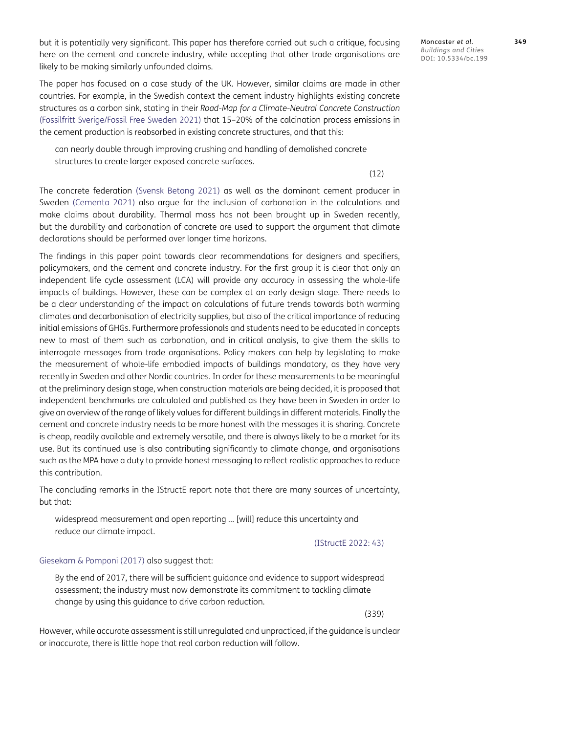but it is potentially very significant. This paper has therefore carried out such a critique, focusing here on the cement and concrete industry, while accepting that other trade organisations are likely to be making similarly unfounded claims.

The paper has focused on a case study of the UK. However, similar claims are made in other countries. For example, in the Swedish context the cement industry highlights existing concrete structures as a carbon sink, stating in their *Road-Map for a Climate-Neutral Concrete Construction* [\(Fossilfritt Sverige/Fossil Free Sweden 2021](#page-18-15)) that 15–20% of the calcination process emissions in the cement production is reabsorbed in existing concrete structures, and that this:

can nearly double through improving crushing and handling of demolished concrete structures to create larger exposed concrete surfaces.

(12)

The concrete federation ([Svensk Betong 2021\)](#page-20-14) as well as the dominant cement producer in Sweden [\(Cementa 2021](#page-18-16)) also argue for the inclusion of carbonation in the calculations and make claims about durability. Thermal mass has not been brought up in Sweden recently, but the durability and carbonation of concrete are used to support the argument that climate declarations should be performed over longer time horizons.

The findings in this paper point towards clear recommendations for designers and specifiers, policymakers, and the cement and concrete industry. For the first group it is clear that only an independent life cycle assessment (LCA) will provide any accuracy in assessing the whole-life impacts of buildings. However, these can be complex at an early design stage. There needs to be a clear understanding of the impact on calculations of future trends towards both warming climates and decarbonisation of electricity supplies, but also of the critical importance of reducing initial emissions of GHGs. Furthermore professionals and students need to be educated in concepts new to most of them such as carbonation, and in critical analysis, to give them the skills to interrogate messages from trade organisations. Policy makers can help by legislating to make the measurement of whole-life embodied impacts of buildings mandatory, as they have very recently in Sweden and other Nordic countries. In order for these measurements to be meaningful at the preliminary design stage, when construction materials are being decided, it is proposed that independent benchmarks are calculated and published as they have been in Sweden in order to give an overview of the range of likely values for different buildings in different materials. Finally the cement and concrete industry needs to be more honest with the messages it is sharing. Concrete is cheap, readily available and extremely versatile, and there is always likely to be a market for its use. But its continued use is also contributing significantly to climate change, and organisations such as the MPA have a duty to provide honest messaging to reflect realistic approaches to reduce this contribution.

The concluding remarks in the IStructE report note that there are many sources of uncertainty, but that:

widespread measurement and open reporting … [will] reduce this uncertainty and reduce our climate impact.

[\(IStructE 2022: 43](#page-19-20))

#### [Giesekam & Pomponi \(2017\)](#page-18-1) also suggest that:

By the end of 2017, there will be sufficient guidance and evidence to support widespread assessment; the industry must now demonstrate its commitment to tackling climate change by using this guidance to drive carbon reduction.

(339)

However, while accurate assessment is still unregulated and unpracticed, if the guidance is unclear or inaccurate, there is little hope that real carbon reduction will follow.

*Buildings and Cities* DOI: 10.5334/bc.199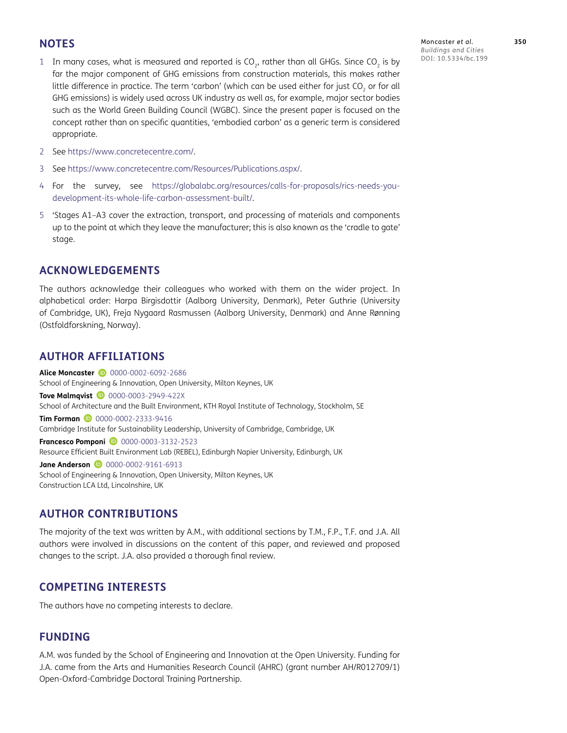#### **NOTES**

- <span id="page-16-1"></span>1 In many cases, what is measured and reported is  $CO<sub>2</sub>$ , rather than all GHGs. Since CO<sub>2</sub> is by far the major component of GHG emissions from construction materials, this makes rather little difference in practice. The term 'carbon' (which can be used either for just CO<sub>2</sub> or for all GHG emissions) is widely used across UK industry as well as, for example, major sector bodies such as the World Green Building Council (WGBC). Since the present paper is focused on the concept rather than on specific quantities, 'embodied carbon' as a generic term is considered appropriate.
- <span id="page-16-2"></span>2 See<https://www.concretecentre.com/>.
- <span id="page-16-3"></span>3 See<https://www.concretecentre.com/Resources/Publications.aspx/>.
- <span id="page-16-4"></span>4 For the survey, see [https://globalabc.org/resources/calls-for-proposals/rics-needs-you](https://globalabc.org/resources/calls-for-proposals/rics-needs-you-development-its-whole-life-carbon-assessment-built/)[development-its-whole-life-carbon-assessment-built/.](https://globalabc.org/resources/calls-for-proposals/rics-needs-you-development-its-whole-life-carbon-assessment-built/)
- <span id="page-16-5"></span>5 'Stages A1–A3 cover the extraction, transport, and processing of materials and components up to the point at which they leave the manufacturer; this is also known as the 'cradle to gate' stage.

#### **ACKNOWLEDGEMENTS**

The authors acknowledge their colleagues who worked with them on the wider project. In alphabetical order: Harpa Birgisdottir (Aalborg University, Denmark), Peter Guthrie (University of Cambridge, UK), Freja Nygaard Rasmussen (Aalborg University, Denmark) and Anne Rønning (Ostfoldforskning, Norway).

#### <span id="page-16-0"></span>**AUTHOR AFFILIATIONS**

**Alice Moncaster D** [0000-0002-6092-2686](https://orcid.org/0000-0002-6092-2686) School of Engineering & Innovation, Open University, Milton Keynes, UK **Tove Malmqvist D** [0000-0003-2949-422X](https://orcid.org/0000-0003-2949-422X) School of Architecture and the Built Environment, KTH Royal Institute of Technology, Stockholm, SE **Tim Forman D** [0000-0002-2333-9416](https://orcid.org/0000-0002-2333-9416) Cambridge Institute for Sustainability Leadership, University of Cambridge, Cambridge, UK **Francesco Pomponi 1** [0000-0003-3132-2523](https://orcid.org/0000-0003-3132-2523) Resource Efficient Built Environment Lab (REBEL), Edinburgh Napier University, Edinburgh, UK **Jane Anderson D** [0000-0002-9161-6913](https://orcid.org/0000-0002-9161-6913) School of Engineering & Innovation, Open University, Milton Keynes, UK Construction LCA Ltd, Lincolnshire, UK

#### **AUTHOR CONTRIBUTIONS**

The majority of the text was written by A.M., with additional sections by T.M., F.P., T.F. and J.A. All authors were involved in discussions on the content of this paper, and reviewed and proposed changes to the script. J.A. also provided a thorough final review.

#### **COMPETING INTERESTS**

The authors have no competing interests to declare.

#### **FUNDING**

A.M. was funded by the School of Engineering and Innovation at the Open University. Funding for J.A. came from the Arts and Humanities Research Council (AHRC) (grant number AH/R012709/1) Open-Oxford-Cambridge Doctoral Training Partnership.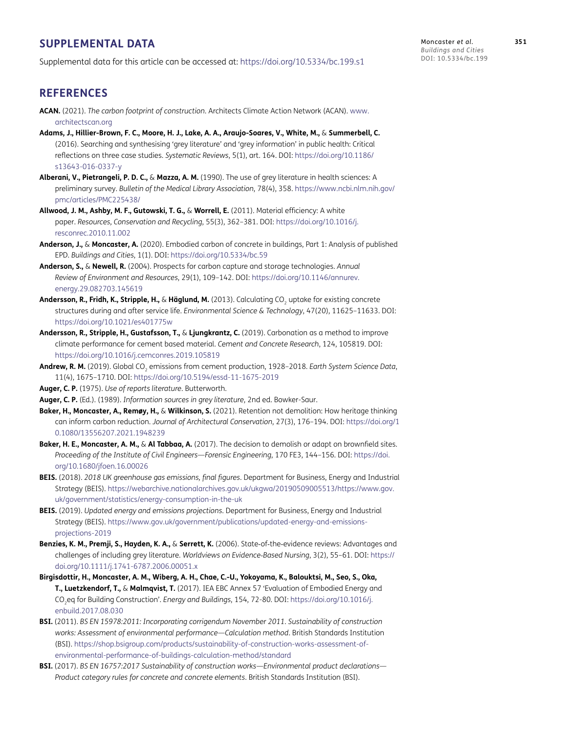#### **SUPPLEMENTAL DATA**

Supplemental data for this article can be accessed at: <https://doi.org/10.5334/bc.199.s1>

Moncaster *et al*. **351** *Buildings and Cities* DOI: 10.5334/bc.199

#### **REFERENCES**

- <span id="page-17-9"></span>**ACAN.** (2021). *The carbon footprint of construction*. Architects Climate Action Network (ACAN). [www.](http://www.architectscan.org) [architectscan.org](http://www.architectscan.org)
- <span id="page-17-8"></span>**Adams, J., Hillier-Brown, F. C., Moore, H. J., Lake, A. A., Araujo-Soares, V., White, M.,** & **Summerbell, C.** (2016). Searching and synthesising 'grey literature' and 'grey information' in public health: Critical reflections on three case studies. *Systematic Reviews*, 5(1), art. 164. DOI: [https://doi.org/10.1186/](https://doi.org/10.1186/s13643-016-0337-y) [s13643-016-0337-y](https://doi.org/10.1186/s13643-016-0337-y)
- <span id="page-17-6"></span>**Alberani, V., Pietrangeli, P. D. C.,** & **Mazza, A. M.** (1990). The use of grey literature in health sciences: A preliminary survey. *Bulletin of the Medical Library Association*, 78(4), 358. [https://www.ncbi.nlm.nih.gov/](https://www.ncbi.nlm.nih.gov/pmc/articles/PMC225438/) [pmc/articles/PMC225438/](https://www.ncbi.nlm.nih.gov/pmc/articles/PMC225438/)
- <span id="page-17-1"></span>**Allwood, J. M., Ashby, M. F., Gutowski, T. G.,** & **Worrell, E.** (2011). Material efficiency: A white paper. *Resources, Conservation and Recycling*, 55(3), 362–381. DOI: [https://doi.org/10.1016/j.](https://doi.org/10.1016/j.resconrec.2010.11.002) [resconrec.2010.11.002](https://doi.org/10.1016/j.resconrec.2010.11.002)
- <span id="page-17-0"></span>**Anderson, J.,** & **Moncaster, A.** (2020). Embodied carbon of concrete in buildings, Part 1: Analysis of published EPD. *Buildings and Cities*, 1(1). DOI: <https://doi.org/10.5334/bc.59>
- <span id="page-17-11"></span>**Anderson, S.,** & **Newell, R.** (2004). Prospects for carbon capture and storage technologies. *Annual Review of Environment and Resources*, 29(1), 109–142. DOI: [https://doi.org/10.1146/annurev.](https://doi.org/10.1146/annurev.energy.29.082703.145619) [energy.29.082703.145619](https://doi.org/10.1146/annurev.energy.29.082703.145619)
- Andersson, R., Fridh, K., Stripple, H., & Häglund, M. (2013). Calculating CO<sub>2</sub> uptake for existing concrete structures during and after service life. *Environmental Science & Technology*, 47(20), 11625–11633. DOI: <https://doi.org/10.1021/es401775w>
- <span id="page-17-16"></span>**Andersson, R., Stripple, H., Gustafsson, T.,** & **Ljungkrantz, C.** (2019). Carbonation as a method to improve climate performance for cement based material. *Cement and Concrete Research*, 124, 105819. DOI: <https://doi.org/10.1016/j.cemconres.2019.105819>
- <span id="page-17-2"></span>Andrew, R. M. (2019). Global CO<sub>2</sub> emissions from cement production, 1928-2018. *Earth System Science Data*, 11(4), 1675–1710. DOI: <https://doi.org/10.5194/essd-11-1675-2019>

<span id="page-17-4"></span>**Auger, C. P.** (1975). *Use of reports literature*. Butterworth.

- <span id="page-17-5"></span>**Auger, C. P.** (Ed.). (1989). *Information sources in grey literature*, 2nd ed. Bowker-Saur.
- **Baker, H., Moncaster, A., Remøy, H.,** & **Wilkinson, S.** (2021). Retention not demolition: How heritage thinking can inform carbon reduction. *Journal of Architectural Conservation*, 27(3), 176–194. DOI: [https://doi.org/1](https://doi.org/10.1080/13556207.2021.1948239) [0.1080/13556207.2021.1948239](https://doi.org/10.1080/13556207.2021.1948239)
- <span id="page-17-3"></span>**Baker, H. E., Moncaster, A. M.,** & **Al Tabbaa, A.** (2017). The decision to demolish or adapt on brownfield sites. *Proceeding of the Institute of Civil Engineers—Forensic Engineering*, 170 FE3, 144–156. DOI: [https://doi.](https://doi.org/10.1680/jfoen.16.00026) [org/10.1680/jfoen.16.00026](https://doi.org/10.1680/jfoen.16.00026)
- <span id="page-17-14"></span>**BEIS.** (2018). *2018 UK greenhouse gas emissions, final figures*. Department for Business, Energy and Industrial Strategy (BEIS). [https://webarchive.nationalarchives.gov.uk/ukgwa/20190509005513/https://www.gov.](https://webarchive.nationalarchives.gov.uk/ukgwa/20190509005513/https://www.gov.uk/government/statistics/energy-consumption-in-the-uk) [uk/government/statistics/energy-consumption-in-the-uk](https://webarchive.nationalarchives.gov.uk/ukgwa/20190509005513/https://www.gov.uk/government/statistics/energy-consumption-in-the-uk)
- <span id="page-17-12"></span>**BEIS.** (2019). *Updated energy and emissions projections*. Department for Business, Energy and Industrial Strategy (BEIS). [https://www.gov.uk/government/publications/updated-energy-and-emissions](https://www.gov.uk/government/publications/updated-energy-and-emissions-projections-2019)[projections-2019](https://www.gov.uk/government/publications/updated-energy-and-emissions-projections-2019)
- <span id="page-17-7"></span>**Benzies, K. M., Premji, S., Hayden, K. A.,** & **Serrett, K.** (2006). State‐of‐the‐evidence reviews: Advantages and challenges of including grey literature. *Worldviews on Evidence‐Based Nursing*, 3(2), 55–61. DOI: [https://](https://doi.org/10.1111/j.1741-6787.2006.00051.x) [doi.org/10.1111/j.1741-6787.2006.00051.x](https://doi.org/10.1111/j.1741-6787.2006.00051.x)
- <span id="page-17-13"></span>**Birgisdottir, H., Moncaster, A. M., Wiberg, A. H., Chae, C.-U., Yokoyama, K., Balouktsi, M., Seo, S., Oka, T., Luetzkendorf, T.,** & **Malmqvist, T.** (2017). IEA EBC Annex 57 'Evaluation of Embodied Energy and CO2eq for Building Construction'. *Energy and Buildings*, 154, 72-80. DOI: [https://doi.org/10.1016/j.](https://doi.org/10.1016/j.enbuild.2017.08.030) [enbuild.2017.08.030](https://doi.org/10.1016/j.enbuild.2017.08.030)
- <span id="page-17-10"></span>**BSI.** (2011). *BS EN 15978:2011: Incorporating corrigendum November 2011. Sustainability of construction works: Assessment of environmental performance—Calculation method*. British Standards Institution (BSI). [https://shop.bsigroup.com/products/sustainability-of-construction-works-assessment-of](https://shop.bsigroup.com/products/sustainability-of-construction-works-assessment-of-environmental-performance-of-buildings-calculation-method/standard)[environmental-performance-of-buildings-calculation-method/standard](https://shop.bsigroup.com/products/sustainability-of-construction-works-assessment-of-environmental-performance-of-buildings-calculation-method/standard)
- <span id="page-17-15"></span>**BSI.** (2017). *BS EN 16757:2017 Sustainability of construction works—Environmental product declarations— Product category rules for concrete and concrete elements*. British Standards Institution (BSI).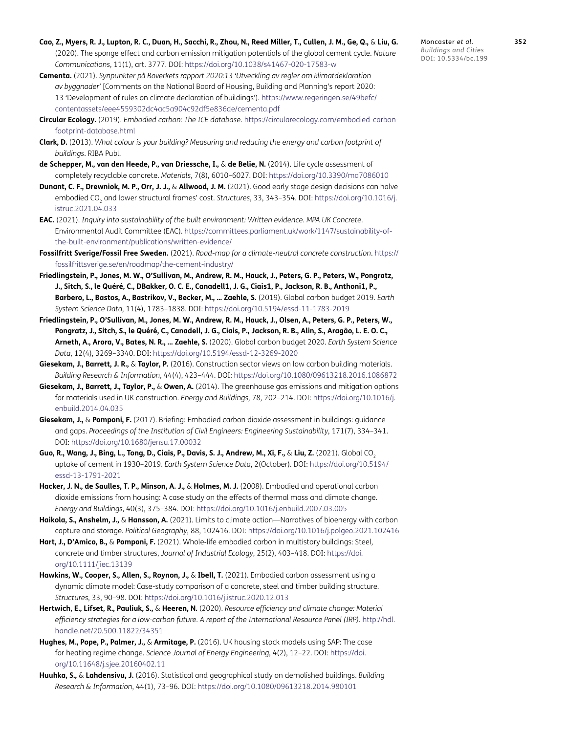- <span id="page-18-13"></span>**Cao, Z., Myers, R. J., Lupton, R. C., Duan, H., Sacchi, R., Zhou, N., Reed Miller, T., Cullen, J. M., Ge, Q.,** & **Liu, G.** (2020). The sponge effect and carbon emission mitigation potentials of the global cement cycle. *Nature Communications*, 11(1), art. 3777. DOI: <https://doi.org/10.1038/s41467-020-17583-w>
- <span id="page-18-16"></span>**Cementa.** (2021). *Synpunkter på Boverkets rapport 2020:13 'Utveckling av regler om klimatdeklaration av byggnader'* [Comments on the National Board of Housing, Building and Planning's report 2020: 13 'Development of rules on climate declaration of buildings'). [https://www.regeringen.se/49befc/](https://www.regeringen.se/49befc/contentassets/eee4559302dc4ac5a904c92df5e836de/cementa.pdf) [contentassets/eee4559302dc4ac5a904c92df5e836de/cementa.pdf](https://www.regeringen.se/49befc/contentassets/eee4559302dc4ac5a904c92df5e836de/cementa.pdf)
- <span id="page-18-9"></span>**Circular Ecology.** (2019). *Embodied carbon: The ICE database*. [https://circularecology.com/embodied-carbon](https://circularecology.com/embodied-carbon-footprint-database.html)[footprint-database.html](https://circularecology.com/embodied-carbon-footprint-database.html)
- <span id="page-18-5"></span>**Clark, D.** (2013). *What colour is your building? Measuring and reducing the energy and carbon footprint of buildings*. RIBA Publ.
- **de Schepper, M., van den Heede, P., van Driessche, I.,** & **de Belie, N.** (2014). Life cycle assessment of completely recyclable concrete. *Materials*, 7(8), 6010–6027. DOI: <https://doi.org/10.3390/ma7086010>
- <span id="page-18-2"></span>**Dunant, C. F., Drewniok, M. P., Orr, J. J.,** & **Allwood, J. M.** (2021). Good early stage design decisions can halve embodied CO2 and lower structural frames' cost. *Structures*, 33, 343–354. DOI: [https://doi.org/10.1016/j.](https://doi.org/10.1016/j.istruc.2021.04.033) [istruc.2021.04.033](https://doi.org/10.1016/j.istruc.2021.04.033)
- <span id="page-18-7"></span>**EAC.** (2021). *Inquiry into sustainability of the built environment: Written evidence. MPA UK Concrete*. Environmental Audit Committee (EAC). [https://committees.parliament.uk/work/1147/sustainability-of](https://committees.parliament.uk/work/1147/sustainability-of-the-built-environment/publications/written-evidence/)[the-built-environment/publications/written-evidence/](https://committees.parliament.uk/work/1147/sustainability-of-the-built-environment/publications/written-evidence/)
- <span id="page-18-15"></span>**Fossilfritt Sverige/Fossil Free Sweden.** (2021). *Road-map for a climate-neutral concrete construction*. [https://](https://fossilfrittsverige.se/en/roadmap/the-cement-industry/) [fossilfrittsverige.se/en/roadmap/the-cement-industry/](https://fossilfrittsverige.se/en/roadmap/the-cement-industry/)
- **Friedlingstein, P., Jones, M. W., O'Sullivan, M., Andrew, R. M., Hauck, J., Peters, G. P., Peters, W., Pongratz, J., Sitch, S., le Quéré, C., DBakker, O. C. E., Canadell1, J. G., Ciais1, P., Jackson, R. B., Anthoni1, P., Barbero, L., Bastos, A., Bastrikov, V., Becker, M., … Zaehle, S.** (2019). Global carbon budget 2019. *Earth System Science Data*, 11(4), 1783–1838. DOI:<https://doi.org/10.5194/essd-11-1783-2019>
- **Friedlingstein, P., O'Sullivan, M., Jones, M. W., Andrew, R. M., Hauck, J., Olsen, A., Peters, G. P., Peters, W., Pongratz, J., Sitch, S., le Quéré, C., Canadell, J. G., Ciais, P., Jackson, R. B., Alin, S., Aragão, L. E. O. C., Arneth, A., Arora, V., Bates, N. R., … Zaehle, S.** (2020). Global carbon budget 2020. *Earth System Science Data*, 12(4), 3269–3340. DOI:<https://doi.org/10.5194/essd-12-3269-2020>
- <span id="page-18-4"></span>**Giesekam, J., Barrett, J. R.,** & **Taylor, P.** (2016). Construction sector views on low carbon building materials. *Building Research & Information*, 44(4), 423–444. DOI: <https://doi.org/10.1080/09613218.2016.1086872>
- <span id="page-18-3"></span>**Giesekam, J., Barrett, J., Taylor, P.,** & **Owen, A.** (2014). The greenhouse gas emissions and mitigation options for materials used in UK construction. *Energy and Buildings*, 78, 202–214. DOI: [https://doi.org/10.1016/j.](https://doi.org/10.1016/j.enbuild.2014.04.035) [enbuild.2014.04.035](https://doi.org/10.1016/j.enbuild.2014.04.035)
- <span id="page-18-1"></span>**Giesekam, J.,** & **Pomponi, F.** (2017). Briefing: Embodied carbon dioxide assessment in buildings: guidance and gaps. *Proceedings of the Institution of Civil Engineers: Engineering Sustainability*, 171(7), 334–341. DOI:<https://doi.org/10.1680/jensu.17.00032>
- <span id="page-18-14"></span>**Guo, R., Wang, J., Bing, L., Tong, D., Ciais, P., Davis, S. J., Andrew, M., Xi, F.,** & **Liu, Z.** (2021). Global CO2 uptake of cement in 1930–2019. *Earth System Science Data*, 2(October). DOI: [https://doi.org/10.5194/](https://doi.org/10.5194/essd-13-1791-2021) [essd-13-1791-2021](https://doi.org/10.5194/essd-13-1791-2021)
- <span id="page-18-8"></span>**Hacker, J. N., de Saulles, T. P., Minson, A. J.,** & **Holmes, M. J.** (2008). Embodied and operational carbon dioxide emissions from housing: A case study on the effects of thermal mass and climate change. *Energy and Buildings*, 40(3), 375–384. DOI:<https://doi.org/10.1016/j.enbuild.2007.03.005>
- <span id="page-18-6"></span>**Haikola, S., Anshelm, J.,** & **Hansson, A.** (2021). Limits to climate action—Narratives of bioenergy with carbon capture and storage. *Political Geography*, 88, 102416. DOI:<https://doi.org/10.1016/j.polgeo.2021.102416>
- **Hart, J., D'Amico, B.,** & **Pomponi, F.** (2021). Whole‐life embodied carbon in multistory buildings: Steel, concrete and timber structures, *Journal of Industrial Ecology*, 25(2), 403–418. DOI: [https://doi.](https://doi.org/10.1111/jiec.13139) [org/10.1111/jiec.13139](https://doi.org/10.1111/jiec.13139)
- <span id="page-18-11"></span>Hawkins, W., Cooper, S., Allen, S., Roynon, J., & Ibell, T. (2021). Embodied carbon assessment using a dynamic climate model: Case-study comparison of a concrete, steel and timber building structure. *Structures*, 33, 90–98. DOI:<https://doi.org/10.1016/j.istruc.2020.12.013>
- <span id="page-18-0"></span>**Hertwich, E., Lifset, R., Pauliuk, S.,** & **Heeren, N.** (2020). *Resource efficiency and climate change: Material efficiency strategies for a low-carbon future. A report of the International Resource Panel (IRP)*. [http://hdl.](http://hdl.handle.net/20.500.11822/34351) [handle.net/20.500.11822/34351](http://hdl.handle.net/20.500.11822/34351)
- <span id="page-18-10"></span>**Hughes, M., Pope, P., Palmer, J.,** & **Armitage, P.** (2016). UK housing stock models using SAP: The case for heating regime change. *Science Journal of Energy Engineering*, 4(2), 12–22. DOI: [https://doi.](https://doi.org/10.11648/j.sjee.20160402.11) [org/10.11648/j.sjee.20160402.11](https://doi.org/10.11648/j.sjee.20160402.11)
- <span id="page-18-12"></span>**Huuhka, S.,** & **Lahdensivu, J.** (2016). Statistical and geographical study on demolished buildings. *Building Research & Information*, 44(1), 73–96. DOI: <https://doi.org/10.1080/09613218.2014.980101>

Moncaster *et al*. **352** *Buildings and Cities* DOI: 10.5334/bc.199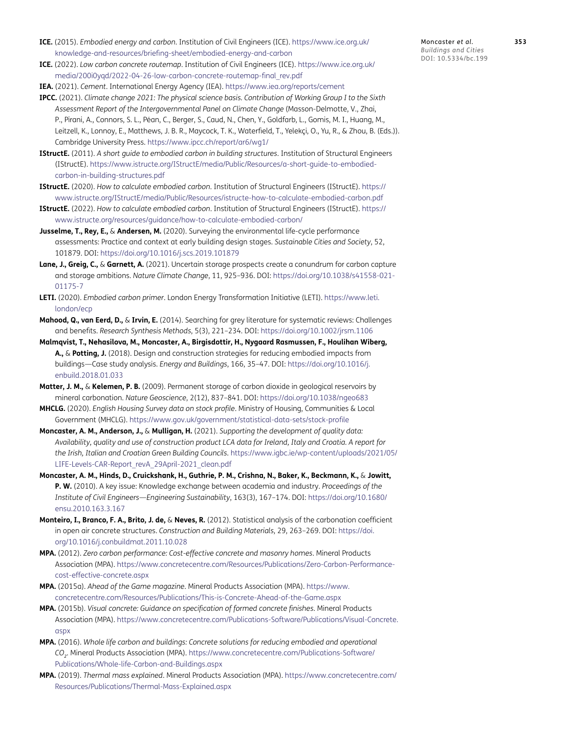- <span id="page-19-5"></span>**ICE.** (2015). *Embodied energy and carbon*. Institution of Civil Engineers (ICE). [https://www.ice.org.uk/](https://www.ice.org.uk/knowledge-and-resources/briefing-sheet/embodied-energy-and-carbon) [knowledge-and-resources/briefing-sheet/embodied-energy-and-carbon](https://www.ice.org.uk/knowledge-and-resources/briefing-sheet/embodied-energy-and-carbon)
- <span id="page-19-6"></span>**ICE.** (2022). *Low carbon concrete routemap*. Institution of Civil Engineers (ICE). [https://www.ice.org.uk/](https://www.ice.org.uk/media/200i0yqd/2022-04-26-low-carbon-concrete-routemap-final_rev.pdf) [media/200i0yqd/2022-04-26-low-carbon-concrete-routemap-final\\_rev.pdf](https://www.ice.org.uk/media/200i0yqd/2022-04-26-low-carbon-concrete-routemap-final_rev.pdf)
- <span id="page-19-0"></span>**IEA.** (2021). *Cement*. International Energy Agency (IEA). <https://www.iea.org/reports/cement>
- <span id="page-19-21"></span>**IPCC.** (2021). *Climate change 2021: The physical science basis. Contribution of Working Group I to the Sixth Assessment Report of the Intergovernmental Panel on Climate Change* (Masson-Delmotte, V., Zhai, P., Pirani, A., Connors, S. L., Péan, C., Berger, S., Caud, N., Chen, Y., Goldfarb, L., Gomis, M. I., Huang, M., Leitzell, K., Lonnoy, E., Matthews, J. B. R., Maycock, T. K., Waterfield, T., Yelekçi, O., Yu, R., & Zhou, B. (Eds.)). Cambridge University Press.<https://www.ipcc.ch/report/ar6/wg1/>
- <span id="page-19-4"></span>**IStructE.** (2011). *A short guide to embodied carbon in building structures*. Institution of Structural Engineers (IStructE). [https://www.istructe.org/IStructE/media/Public/Resources/a-short-guide-to-embodied](https://www.istructe.org/IStructE/media/Public/Resources/a-short-guide-to-embodied-carbon-in-building-structures.pdf)[carbon-in-building-structures.pdf](https://www.istructe.org/IStructE/media/Public/Resources/a-short-guide-to-embodied-carbon-in-building-structures.pdf)
- <span id="page-19-19"></span>**IStructE.** (2020). *How to calculate embodied carbon*. Institution of Structural Engineers (IStructE). [https://](https://www.istructe.org/IStructE/media/Public/Resources/istructe-how-to-calculate-embodied-carbon.pdf) [www.istructe.org/IStructE/media/Public/Resources/istructe-how-to-calculate-embodied-carbon.pdf](https://www.istructe.org/IStructE/media/Public/Resources/istructe-how-to-calculate-embodied-carbon.pdf)
- <span id="page-19-20"></span>**IStructE.** (2022). *How to calculate embodied carbon*. Institution of Structural Engineers (IStructE). [https://](https://www.istructe.org/resources/guidance/how-to-calculate-embodied-carbon/) [www.istructe.org/resources/guidance/how-to-calculate-embodied-carbon/](https://www.istructe.org/resources/guidance/how-to-calculate-embodied-carbon/)
- <span id="page-19-1"></span>**Jusselme, T., Rey, E.,** & **Andersen, M.** (2020). Surveying the environmental life-cycle performance assessments: Practice and context at early building design stages. *Sustainable Cities and Society*, 52, 101879. DOI: <https://doi.org/10.1016/j.scs.2019.101879>
- <span id="page-19-12"></span>**Lane, J., Greig, C.,** & **Garnett, A.** (2021). Uncertain storage prospects create a conundrum for carbon capture and storage ambitions. *Nature Climate Change*, 11, 925–936. DOI: [https://doi.org/10.1038/s41558-021-](https://doi.org/10.1038/s41558-021-01175-7) [01175-7](https://doi.org/10.1038/s41558-021-01175-7)
- <span id="page-19-7"></span>**LETI.** (2020). *Embodied carbon primer*. London Energy Transformation Initiative (LETI). [https://www.leti.](https://www.leti.london/ecp) [london/ecp](https://www.leti.london/ecp)
- <span id="page-19-3"></span>**Mahood, Q., van Eerd, D.,** & **Irvin, E.** (2014). Searching for grey literature for systematic reviews: Challenges and benefits. *Research Synthesis Methods*, 5(3), 221–234. DOI: <https://doi.org/10.1002/jrsm.1106>
- <span id="page-19-14"></span>**Malmqvist, T., Nehasilova, M., Moncaster, A., Birgisdottir, H., Nygaard Rasmussen, F., Houlihan Wiberg, A.,** & **Potting, J.** (2018). Design and construction strategies for reducing embodied impacts from buildings—Case study analysis. *Energy and Buildings*, 166, 35–47. DOI: [https://doi.org/10.1016/j.](https://doi.org/10.1016/j.enbuild.2018.01.033) [enbuild.2018.01.033](https://doi.org/10.1016/j.enbuild.2018.01.033)
- <span id="page-19-16"></span>**Matter, J. M.,** & **Kelemen, P. B.** (2009). Permanent storage of carbon dioxide in geological reservoirs by mineral carbonation. *Nature Geoscience*, 2(12), 837–841. DOI:<https://doi.org/10.1038/ngeo683>
- <span id="page-19-15"></span>**MHCLG.** (2020). *English Housing Survey data on stock profile*. Ministry of Housing, Communities & Local Government (MHCLG). <https://www.gov.uk/government/statistical-data-sets/stock-profile>
- <span id="page-19-13"></span>**Moncaster, A. M., Anderson, J.,** & **Mulligan, H.** (2021). *Supporting the development of quality data: Availability, quality and use of construction product LCA data for Ireland, Italy and Croatia. A report for the Irish, Italian and Croatian Green Building Councils*. [https://www.igbc.ie/wp-content/uploads/2021/05/](https://www.igbc.ie/wp-content/uploads/2021/05/LIFE-Levels-CAR-Report_revA_29April-2021_clean.pdf) [LIFE-Levels-CAR-Report\\_revA\\_29April-2021\\_clean.pdf](https://www.igbc.ie/wp-content/uploads/2021/05/LIFE-Levels-CAR-Report_revA_29April-2021_clean.pdf)
- <span id="page-19-2"></span>**Moncaster, A. M., Hinds, D., Cruickshank, H., Guthrie, P. M., Crishna, N., Baker, K., Beckmann, K.,** & **Jowitt, P. W.** (2010). A key issue: Knowledge exchange between academia and industry. *Proceedings of the Institute of Civil Engineers—Engineering Sustainability*, 163(3), 167–174. DOI: [https://doi.org/10.1680/](https://doi.org/10.1680/ensu.2010.163.3.167) [ensu.2010.163.3.167](https://doi.org/10.1680/ensu.2010.163.3.167)
- <span id="page-19-17"></span>**Monteiro, I., Branco, F. A., Brito, J. de,** & **Neves, R.** (2012). Statistical analysis of the carbonation coefficient in open air concrete structures. *Construction and Building Materials*, 29, 263–269. DOI: [https://doi.](https://doi.org/10.1016/j.conbuildmat.2011.10.028) [org/10.1016/j.conbuildmat.2011.10.028](https://doi.org/10.1016/j.conbuildmat.2011.10.028)
- <span id="page-19-8"></span>**MPA.** (2012). *Zero carbon performance: Cost-effective concrete and masonry homes*. Mineral Products Association (MPA). [https://www.concretecentre.com/Resources/Publications/Zero-Carbon-Performance](https://www.concretecentre.com/Resources/Publications/Zero-Carbon-Performance-cost-effective-concrete.aspx)[cost-effective-concrete.aspx](https://www.concretecentre.com/Resources/Publications/Zero-Carbon-Performance-cost-effective-concrete.aspx)
- <span id="page-19-9"></span>**MPA.** (2015a). *Ahead of the Game magazine*. Mineral Products Association (MPA). [https://www.](https://www.concretecentre.com/Resources/Publications/This-is-Concrete-Ahead-of-the-Game.aspx) [concretecentre.com/Resources/Publications/This-is-Concrete-Ahead-of-the-Game.aspx](https://www.concretecentre.com/Resources/Publications/This-is-Concrete-Ahead-of-the-Game.aspx)
- <span id="page-19-18"></span>**MPA.** (2015b). *Visual concrete: Guidance on specification of formed concrete finishes*. Mineral Products Association (MPA). [https://www.concretecentre.com/Publications-Software/Publications/Visual-Concrete.](https://www.concretecentre.com/Publications-Software/Publications/Visual-Concrete.aspx) [aspx](https://www.concretecentre.com/Publications-Software/Publications/Visual-Concrete.aspx)
- <span id="page-19-11"></span>**MPA.** (2016). *Whole life carbon and buildings: Concrete solutions for reducing embodied and operational CO<sup>2</sup>* . Mineral Products Association (MPA). [https://www.concretecentre.com/Publications-Software/](https://www.concretecentre.com/Publications-Software/Publications/Whole-life-Carbon-and-Buildings.aspx) [Publications/Whole-life-Carbon-and-Buildings.aspx](https://www.concretecentre.com/Publications-Software/Publications/Whole-life-Carbon-and-Buildings.aspx)
- <span id="page-19-10"></span>**MPA.** (2019). *Thermal mass explained*. Mineral Products Association (MPA). [https://www.concretecentre.com/](https://www.concretecentre.com/Resources/Publications/Thermal-Mass-Explained.aspx) [Resources/Publications/Thermal-Mass-Explained.aspx](https://www.concretecentre.com/Resources/Publications/Thermal-Mass-Explained.aspx)

Moncaster *et al*. **353** *Buildings and Cities* DOI: 10.5334/bc.199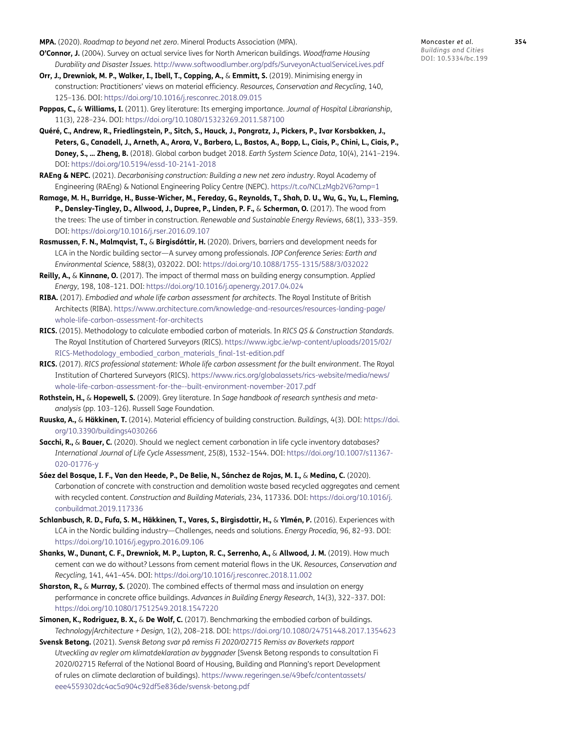<span id="page-20-6"></span>**MPA.** (2020). *Roadmap to beyond net zero*. Mineral Products Association (MPA).

- **O'Connor, J.** (2004). Survey on actual service lives for North American buildings. *Woodframe Housing Durability and Disaster Issues*.<http://www.softwoodlumber.org/pdfs/SurveyonActualServiceLives.pdf>
- <span id="page-20-1"></span>**Orr, J., Drewniok, M. P., Walker, I., Ibell, T., Copping, A.,** & **Emmitt, S.** (2019). Minimising energy in construction: Practitioners' views on material efficiency. *Resources, Conservation and Recycling*, 140, 125–136. DOI: <https://doi.org/10.1016/j.resconrec.2018.09.015>
- <span id="page-20-4"></span>**Pappas, C.,** & **Williams, I.** (2011). Grey literature: Its emerging importance. *Journal of Hospital Librarianship*, 11(3), 228–234. DOI: <https://doi.org/10.1080/15323269.2011.587100>
- **Quéré, C., Andrew, R., Friedlingstein, P., Sitch, S., Hauck, J., Pongratz, J., Pickers, P., Ivar Korsbakken, J., Peters, G., Canadell, J., Arneth, A., Arora, V., Barbero, L., Bastos, A., Bopp, L., Ciais, P., Chini, L., Ciais, P., Doney, S., … Zheng, B.** (2018). Global carbon budget 2018. *Earth System Science Data*, 10(4), 2141–2194. DOI:<https://doi.org/10.5194/essd-10-2141-2018>
- <span id="page-20-10"></span>**RAEng & NEPC.** (2021). *Decarbonising construction: Building a new net zero industry*. Royal Academy of Engineering (RAEng) & National Engineering Policy Centre (NEPC). <https://t.co/NCLzMgb2V6?amp=1>
- <span id="page-20-2"></span>**Ramage, M. H., Burridge, H., Busse-Wicher, M., Fereday, G., Reynolds, T., Shah, D. U., Wu, G., Yu, L., Fleming, P., Densley-Tingley, D., Allwood, J., Dupree, P., Linden, P. F.,** & **Scherman, O.** (2017). The wood from the trees: The use of timber in construction. *Renewable and Sustainable Energy Reviews*, 68(1), 333–359. DOI:<https://doi.org/10.1016/j.rser.2016.09.107>
- **Rasmussen, F. N., Malmqvist, T.,** & **Birgisdóttir, H.** (2020). Drivers, barriers and development needs for LCA in the Nordic building sector—A survey among professionals. *IOP Conference Series: Earth and Environmental Science*, 588(3), 032022. DOI:<https://doi.org/10.1088/1755-1315/588/3/032022>
- <span id="page-20-12"></span>**Reilly, A.,** & **Kinnane, O.** (2017). The impact of thermal mass on building energy consumption. *Applied Energy*, 198, 108–121. DOI:<https://doi.org/10.1016/j.apenergy.2017.04.024>
- <span id="page-20-9"></span>**RIBA.** (2017). *Embodied and whole life carbon assessment for architects*. The Royal Institute of British Architects (RIBA). [https://www.architecture.com/knowledge-and-resources/resources-landing-page/](https://www.architecture.com/knowledge-and-resources/resources-landing-page/whole-life-carbon-assessment-for-architects) [whole-life-carbon-assessment-for-architects](https://www.architecture.com/knowledge-and-resources/resources-landing-page/whole-life-carbon-assessment-for-architects)
- <span id="page-20-7"></span>**RICS.** (2015). Methodology to calculate embodied carbon of materials. In *RICS QS & Construction Standards*. The Royal Institution of Chartered Surveyors (RICS). [https://www.igbc.ie/wp-content/uploads/2015/02/](https://www.igbc.ie/wp-content/uploads/2015/02/RICS-Methodology_embodied_carbon_materials_final-1st-edition.pdf) [RICS-Methodology\\_embodied\\_carbon\\_materials\\_final-1st-edition.pdf](https://www.igbc.ie/wp-content/uploads/2015/02/RICS-Methodology_embodied_carbon_materials_final-1st-edition.pdf)
- <span id="page-20-8"></span>**RICS.** (2017). *RICS professional statement: Whole life carbon assessment for the built environment*. The Royal Institution of Chartered Surveyors (RICS). [https://www.rics.org/globalassets/rics-website/media/news/](https://www.rics.org/globalassets/rics-website/media/news/whole-life-carbon-assessment-for-the--built-environment-november-2017.pdf) [whole-life-carbon-assessment-for-the--built-environment-november-2017.pdf](https://www.rics.org/globalassets/rics-website/media/news/whole-life-carbon-assessment-for-the--built-environment-november-2017.pdf)
- <span id="page-20-5"></span>**Rothstein, H.,** & **Hopewell, S.** (2009). Grey literature. In *Sage handbook of research synthesis and metaanalysis* (pp. 103–126). Russell Sage Foundation.
- **Ruuska, A.,** & **Häkkinen, T.** (2014). Material efficiency of building construction. *Buildings*, 4(3). DOI: [https://doi.](https://doi.org/10.3390/buildings4030266) [org/10.3390/buildings4030266](https://doi.org/10.3390/buildings4030266)
- <span id="page-20-13"></span>**Sacchi, R.,** & **Bauer, C.** (2020). Should we neglect cement carbonation in life cycle inventory databases? *International Journal of Life Cycle Assessment*, 25(8), 1532–1544. DOI: [https://doi.org/10.1007/s11367-](https://doi.org/10.1007/s11367-020-01776-y) [020-01776-y](https://doi.org/10.1007/s11367-020-01776-y)
- **Sáez del Bosque, I. F., Van den Heede, P., De Belie, N., Sánchez de Rojas, M. I.,** & **Medina, C.** (2020). Carbonation of concrete with construction and demolition waste based recycled aggregates and cement with recycled content. *Construction and Building Materials*, 234, 117336. DOI: [https://doi.org/10.1016/j.](https://doi.org/10.1016/j.conbuildmat.2019.117336) [conbuildmat.2019.117336](https://doi.org/10.1016/j.conbuildmat.2019.117336)
- **Schlanbusch, R. D., Fufa, S. M., Häkkinen, T., Vares, S., Birgisdottir, H.,** & **Ylmén, P.** (2016). Experiences with LCA in the Nordic building industry—Challenges, needs and solutions. *Energy Procedia*, 96, 82–93. DOI: <https://doi.org/10.1016/j.egypro.2016.09.106>
- <span id="page-20-3"></span>**Shanks, W., Dunant, C. F., Drewniok, M. P., Lupton, R. C., Serrenho, A.,** & **Allwood, J. M.** (2019). How much cement can we do without? Lessons from cement material flows in the UK. *Resources, Conservation and Recycling*, 141, 441–454. DOI: <https://doi.org/10.1016/j.resconrec.2018.11.002>
- <span id="page-20-11"></span>**Sharston, R.,** & **Murray, S.** (2020). The combined effects of thermal mass and insulation on energy performance in concrete office buildings. *Advances in Building Energy Research*, 14(3), 322–337. DOI: <https://doi.org/10.1080/17512549.2018.1547220>
- <span id="page-20-0"></span>**Simonen, K., Rodriguez, B. X.,** & **De Wolf, C.** (2017). Benchmarking the embodied carbon of buildings. *Technology|Architecture + Design*, 1(2), 208–218. DOI: <https://doi.org/10.1080/24751448.2017.1354623>
- <span id="page-20-14"></span>**Svensk Betong.** (2021). *Svensk Betong svar på remiss Fi 2020/02715 Remiss av Boverkets rapport Utveckling av regler om klimatdeklaration av byggnader* [Svensk Betong responds to consultation Fi 2020/02715 Referral of the National Board of Housing, Building and Planning's report Development of rules on climate declaration of buildings). [https://www.regeringen.se/49befc/contentassets/](https://www.regeringen.se/49befc/contentassets/eee4559302dc4ac5a904c92df5e836de/svensk-betong.pdf) [eee4559302dc4ac5a904c92df5e836de/svensk-betong.pdf](https://www.regeringen.se/49befc/contentassets/eee4559302dc4ac5a904c92df5e836de/svensk-betong.pdf)